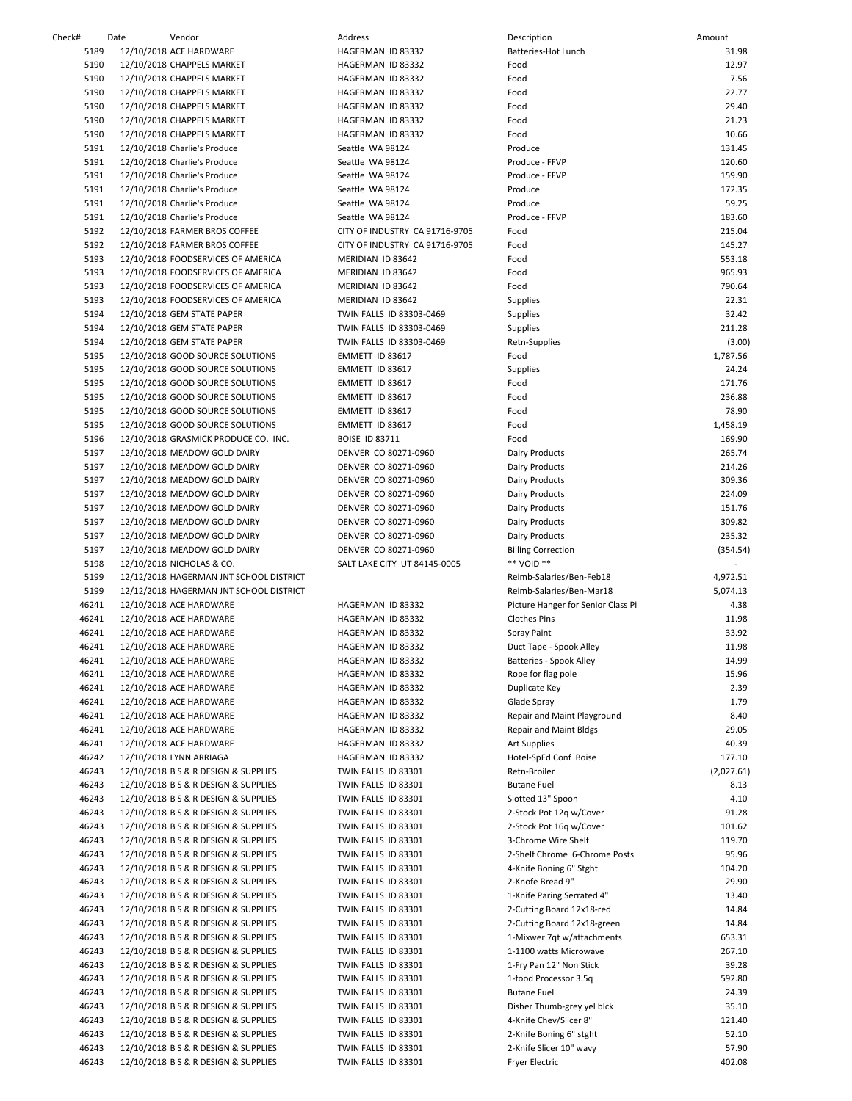| Check#         | Date | Vendor                                                                       | Address                                      | Description                                             | Amount           |
|----------------|------|------------------------------------------------------------------------------|----------------------------------------------|---------------------------------------------------------|------------------|
| 5189           |      | 12/10/2018 ACE HARDWARE                                                      | HAGERMAN ID 83332                            | Batteries-Hot Lunch                                     | 31.98            |
| 5190           |      | 12/10/2018 CHAPPELS MARKET                                                   | HAGERMAN ID 83332                            | Food                                                    | 12.97            |
| 5190           |      | 12/10/2018 CHAPPELS MARKET                                                   | HAGERMAN ID 83332                            | Food                                                    | 7.56             |
| 5190           |      | 12/10/2018 CHAPPELS MARKET                                                   | HAGERMAN ID 83332                            | Food                                                    | 22.77            |
| 5190<br>5190   |      | 12/10/2018 CHAPPELS MARKET<br>12/10/2018 CHAPPELS MARKET                     | HAGERMAN ID 83332<br>HAGERMAN ID 83332       | Food<br>Food                                            | 29.40<br>21.23   |
| 5190           |      | 12/10/2018 CHAPPELS MARKET                                                   | HAGERMAN ID 83332                            | Food                                                    | 10.66            |
| 5191           |      | 12/10/2018 Charlie's Produce                                                 | Seattle WA 98124                             | Produce                                                 | 131.45           |
| 5191           |      | 12/10/2018 Charlie's Produce                                                 | Seattle WA 98124                             | Produce - FFVP                                          | 120.60           |
| 5191           |      | 12/10/2018 Charlie's Produce                                                 | Seattle WA 98124                             | Produce - FFVP                                          | 159.90           |
| 5191           |      | 12/10/2018 Charlie's Produce                                                 | Seattle WA 98124                             | Produce                                                 | 172.35           |
| 5191           |      | 12/10/2018 Charlie's Produce                                                 | Seattle WA 98124                             | Produce                                                 | 59.25            |
| 5191           |      | 12/10/2018 Charlie's Produce                                                 | Seattle WA 98124                             | Produce - FFVP                                          | 183.60           |
| 5192           |      | 12/10/2018 FARMER BROS COFFEE                                                | CITY OF INDUSTRY CA 91716-9705               | Food                                                    | 215.04           |
| 5192           |      | 12/10/2018 FARMER BROS COFFEE                                                | CITY OF INDUSTRY CA 91716-9705               | Food                                                    | 145.27           |
| 5193           |      | 12/10/2018 FOODSERVICES OF AMERICA                                           | MERIDIAN ID 83642                            | Food                                                    | 553.18           |
| 5193           |      | 12/10/2018 FOODSERVICES OF AMERICA                                           | MERIDIAN ID 83642                            | Food                                                    | 965.93           |
| 5193<br>5193   |      | 12/10/2018 FOODSERVICES OF AMERICA                                           | MERIDIAN ID 83642<br>MERIDIAN ID 83642       | Food<br>Supplies                                        | 790.64<br>22.31  |
| 5194           |      | 12/10/2018 FOODSERVICES OF AMERICA<br>12/10/2018 GEM STATE PAPER             | TWIN FALLS ID 83303-0469                     | Supplies                                                | 32.42            |
| 5194           |      | 12/10/2018 GEM STATE PAPER                                                   | TWIN FALLS ID 83303-0469                     | Supplies                                                | 211.28           |
| 5194           |      | 12/10/2018 GEM STATE PAPER                                                   | TWIN FALLS ID 83303-0469                     | Retn-Supplies                                           | (3.00)           |
| 5195           |      | 12/10/2018 GOOD SOURCE SOLUTIONS                                             | EMMETT ID 83617                              | Food                                                    | 1,787.56         |
| 5195           |      | 12/10/2018 GOOD SOURCE SOLUTIONS                                             | EMMETT ID 83617                              | Supplies                                                | 24.24            |
| 5195           |      | 12/10/2018 GOOD SOURCE SOLUTIONS                                             | EMMETT ID 83617                              | Food                                                    | 171.76           |
| 5195           |      | 12/10/2018 GOOD SOURCE SOLUTIONS                                             | EMMETT ID 83617                              | Food                                                    | 236.88           |
| 5195           |      | 12/10/2018 GOOD SOURCE SOLUTIONS                                             | EMMETT ID 83617                              | Food                                                    | 78.90            |
| 5195           |      | 12/10/2018 GOOD SOURCE SOLUTIONS                                             | EMMETT ID 83617                              | Food                                                    | 1,458.19         |
| 5196           |      | 12/10/2018 GRASMICK PRODUCE CO. INC.                                         | <b>BOISE ID 83711</b>                        | Food                                                    | 169.90           |
| 5197           |      | 12/10/2018 MEADOW GOLD DAIRY                                                 | DENVER CO 80271-0960                         | Dairy Products                                          | 265.74           |
| 5197           |      | 12/10/2018 MEADOW GOLD DAIRY                                                 | DENVER CO 80271-0960                         | Dairy Products                                          | 214.26           |
| 5197           |      | 12/10/2018 MEADOW GOLD DAIRY                                                 | DENVER CO 80271-0960                         | Dairy Products                                          | 309.36           |
| 5197<br>5197   |      | 12/10/2018 MEADOW GOLD DAIRY                                                 | DENVER CO 80271-0960                         | Dairy Products                                          | 224.09<br>151.76 |
| 5197           |      | 12/10/2018 MEADOW GOLD DAIRY<br>12/10/2018 MEADOW GOLD DAIRY                 | DENVER CO 80271-0960<br>DENVER CO 80271-0960 | Dairy Products<br>Dairy Products                        | 309.82           |
| 5197           |      | 12/10/2018 MEADOW GOLD DAIRY                                                 | DENVER CO 80271-0960                         | Dairy Products                                          | 235.32           |
| 5197           |      | 12/10/2018 MEADOW GOLD DAIRY                                                 | DENVER CO 80271-0960                         | <b>Billing Correction</b>                               | (354.54)         |
| 5198           |      | 12/10/2018 NICHOLAS & CO.                                                    | SALT LAKE CITY UT 84145-0005                 | ** VOID **                                              |                  |
| 5199           |      | 12/12/2018 HAGERMAN JNT SCHOOL DISTRICT                                      |                                              | Reimb-Salaries/Ben-Feb18                                | 4,972.51         |
| 5199           |      | 12/12/2018 HAGERMAN JNT SCHOOL DISTRICT                                      |                                              | Reimb-Salaries/Ben-Mar18                                | 5,074.13         |
| 46241          |      | 12/10/2018 ACE HARDWARE                                                      | HAGERMAN ID 83332                            | Picture Hanger for Senior Class Pi                      | 4.38             |
| 46241          |      | 12/10/2018 ACE HARDWARE                                                      | HAGERMAN ID 83332                            | Clothes Pins                                            | 11.98            |
| 46241          |      | 12/10/2018 ACE HARDWARE                                                      | HAGERMAN ID 83332                            | Spray Paint                                             | 33.92            |
| 46241          |      | 12/10/2018 ACE HARDWARE                                                      | HAGERMAN ID 83332                            | Duct Tape - Spook Alley                                 | 11.98            |
| 46241          |      | 12/10/2018 ACE HARDWARE                                                      | HAGERMAN ID 83332                            | Batteries - Spook Alley                                 | 14.99            |
| 46241          |      | 12/10/2018 ACE HARDWARE                                                      | HAGERMAN ID 83332                            | Rope for flag pole                                      | 15.96            |
| 46241          |      | 12/10/2018 ACE HARDWARE                                                      | HAGERMAN ID 83332                            | Duplicate Key                                           | 2.39             |
| 46241<br>46241 |      | 12/10/2018 ACE HARDWARE<br>12/10/2018 ACE HARDWARE                           | HAGERMAN ID 83332<br>HAGERMAN ID 83332       | Glade Spray<br>Repair and Maint Playground              | 1.79<br>8.40     |
| 46241          |      | 12/10/2018 ACE HARDWARE                                                      | HAGERMAN ID 83332                            | <b>Repair and Maint Bldgs</b>                           | 29.05            |
| 46241          |      | 12/10/2018 ACE HARDWARE                                                      | HAGERMAN ID 83332                            | <b>Art Supplies</b>                                     | 40.39            |
| 46242          |      | 12/10/2018 LYNN ARRIAGA                                                      | HAGERMAN ID 83332                            | Hotel-SpEd Conf Boise                                   | 177.10           |
| 46243          |      | 12/10/2018 B S & R DESIGN & SUPPLIES                                         | TWIN FALLS ID 83301                          | Retn-Broiler                                            | (2,027.61)       |
| 46243          |      | 12/10/2018 B S & R DESIGN & SUPPLIES                                         | TWIN FALLS ID 83301                          | <b>Butane Fuel</b>                                      | 8.13             |
| 46243          |      | 12/10/2018 B S & R DESIGN & SUPPLIES                                         | TWIN FALLS ID 83301                          | Slotted 13" Spoon                                       | 4.10             |
| 46243          |      | 12/10/2018 B S & R DESIGN & SUPPLIES                                         | TWIN FALLS ID 83301                          | 2-Stock Pot 12q w/Cover                                 | 91.28            |
| 46243          |      | 12/10/2018 B S & R DESIGN & SUPPLIES                                         | TWIN FALLS ID 83301                          | 2-Stock Pot 16q w/Cover                                 | 101.62           |
| 46243          |      | 12/10/2018 B S & R DESIGN & SUPPLIES                                         | TWIN FALLS ID 83301                          | 3-Chrome Wire Shelf                                     | 119.70           |
| 46243          |      | 12/10/2018 B S & R DESIGN & SUPPLIES                                         | TWIN FALLS ID 83301                          | 2-Shelf Chrome 6-Chrome Posts                           | 95.96            |
| 46243          |      | 12/10/2018 B S & R DESIGN & SUPPLIES                                         | TWIN FALLS ID 83301                          | 4-Knife Boning 6" Stght                                 | 104.20           |
| 46243          |      | 12/10/2018 B S & R DESIGN & SUPPLIES                                         | TWIN FALLS ID 83301                          | 2-Knofe Bread 9"                                        | 29.90            |
| 46243<br>46243 |      | 12/10/2018 B S & R DESIGN & SUPPLIES<br>12/10/2018 B S & R DESIGN & SUPPLIES | TWIN FALLS ID 83301<br>TWIN FALLS ID 83301   | 1-Knife Paring Serrated 4"<br>2-Cutting Board 12x18-red | 13.40<br>14.84   |
| 46243          |      | 12/10/2018 B S & R DESIGN & SUPPLIES                                         | TWIN FALLS ID 83301                          | 2-Cutting Board 12x18-green                             | 14.84            |
| 46243          |      | 12/10/2018 B S & R DESIGN & SUPPLIES                                         | TWIN FALLS ID 83301                          | 1-Mixwer 7qt w/attachments                              | 653.31           |
| 46243          |      | 12/10/2018 B S & R DESIGN & SUPPLIES                                         | TWIN FALLS ID 83301                          | 1-1100 watts Microwave                                  | 267.10           |
| 46243          |      | 12/10/2018 B S & R DESIGN & SUPPLIES                                         | TWIN FALLS ID 83301                          | 1-Fry Pan 12" Non Stick                                 | 39.28            |
| 46243          |      | 12/10/2018 B S & R DESIGN & SUPPLIES                                         | TWIN FALLS ID 83301                          | 1-food Processor 3.5q                                   | 592.80           |
| 46243          |      | 12/10/2018 B S & R DESIGN & SUPPLIES                                         | TWIN FALLS ID 83301                          | <b>Butane Fuel</b>                                      | 24.39            |
| 46243          |      | 12/10/2018 B S & R DESIGN & SUPPLIES                                         | TWIN FALLS ID 83301                          | Disher Thumb-grey yel blck                              | 35.10            |
| 46243          |      | 12/10/2018 B S & R DESIGN & SUPPLIES                                         | TWIN FALLS ID 83301                          | 4-Knife Chev/Slicer 8"                                  | 121.40           |
| 46243          |      | 12/10/2018 B S & R DESIGN & SUPPLIES                                         | TWIN FALLS ID 83301                          | 2-Knife Boning 6" stght                                 | 52.10            |
| 46243          |      | 12/10/2018 B S & R DESIGN & SUPPLIES                                         | TWIN FALLS ID 83301                          | 2-Knife Slicer 10" wavy                                 | 57.90            |
| 46243          |      | 12/10/2018 B S & R DESIGN & SUPPLIES                                         | TWIN FALLS ID 83301                          | <b>Fryer Electric</b>                                   | 402.08           |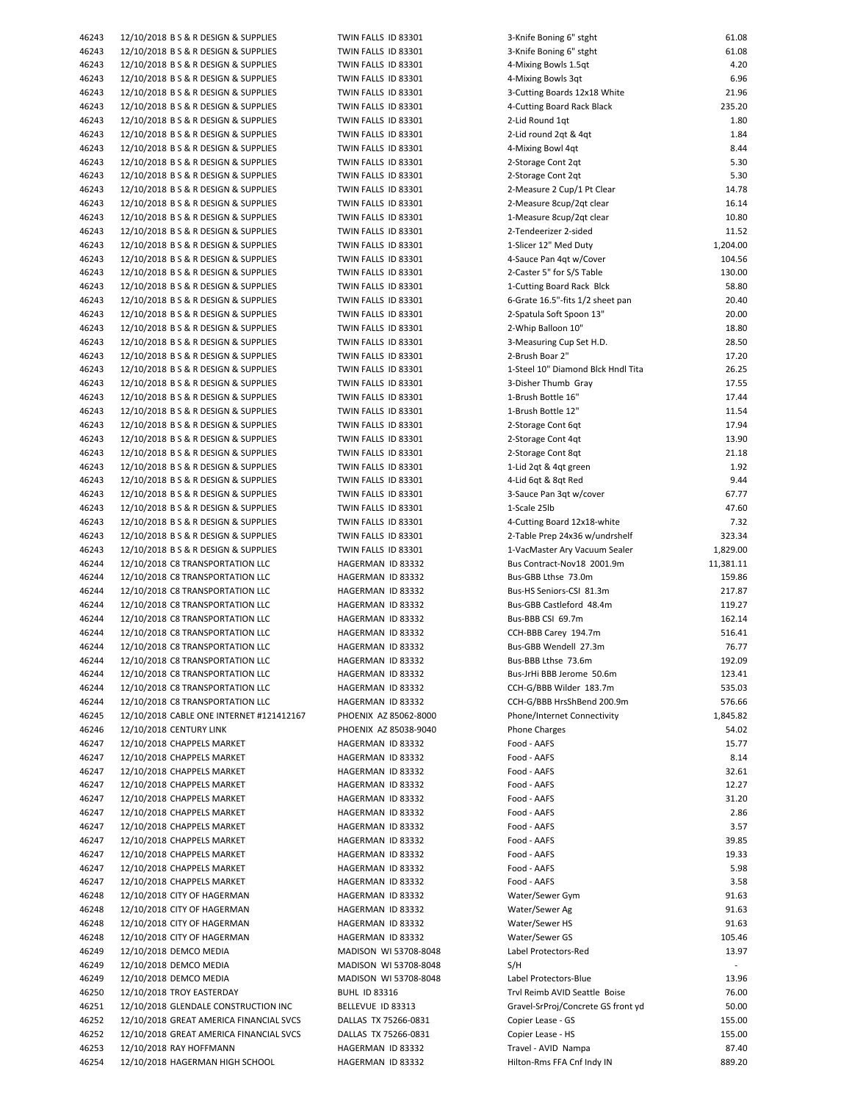| 46243 | 12/10/2018 B S & R DESIGN & SUPPLIES     | TWIN FALLS ID 83301   | 3-Knife Boning 6" stght            | 61.08     |
|-------|------------------------------------------|-----------------------|------------------------------------|-----------|
| 46243 | 12/10/2018 B S & R DESIGN & SUPPLIES     | TWIN FALLS ID 83301   | 3-Knife Boning 6" stght            | 61.08     |
|       |                                          |                       |                                    |           |
| 46243 | 12/10/2018 B S & R DESIGN & SUPPLIES     | TWIN FALLS ID 83301   | 4-Mixing Bowls 1.5qt               | 4.20      |
| 46243 | 12/10/2018 B S & R DESIGN & SUPPLIES     | TWIN FALLS ID 83301   | 4-Mixing Bowls 3qt                 | 6.96      |
| 46243 | 12/10/2018 B S & R DESIGN & SUPPLIES     | TWIN FALLS ID 83301   | 3-Cutting Boards 12x18 White       | 21.96     |
| 46243 | 12/10/2018 B S & R DESIGN & SUPPLIES     | TWIN FALLS ID 83301   | 4-Cutting Board Rack Black         | 235.20    |
| 46243 | 12/10/2018 B S & R DESIGN & SUPPLIES     | TWIN FALLS ID 83301   | 2-Lid Round 1qt                    | 1.80      |
|       |                                          |                       |                                    |           |
| 46243 | 12/10/2018 B S & R DESIGN & SUPPLIES     | TWIN FALLS ID 83301   | 2-Lid round 2qt & 4qt              | 1.84      |
| 46243 | 12/10/2018 B S & R DESIGN & SUPPLIES     | TWIN FALLS ID 83301   | 4-Mixing Bowl 4qt                  | 8.44      |
| 46243 | 12/10/2018 B S & R DESIGN & SUPPLIES     | TWIN FALLS ID 83301   | 2-Storage Cont 2qt                 | 5.30      |
| 46243 | 12/10/2018 B S & R DESIGN & SUPPLIES     | TWIN FALLS ID 83301   | 2-Storage Cont 2qt                 | 5.30      |
|       | 12/10/2018 B S & R DESIGN & SUPPLIES     |                       |                                    | 14.78     |
| 46243 |                                          | TWIN FALLS ID 83301   | 2-Measure 2 Cup/1 Pt Clear         |           |
| 46243 | 12/10/2018 B S & R DESIGN & SUPPLIES     | TWIN FALLS ID 83301   | 2-Measure 8cup/2qt clear           | 16.14     |
| 46243 | 12/10/2018 B S & R DESIGN & SUPPLIES     | TWIN FALLS ID 83301   | 1-Measure 8cup/2qt clear           | 10.80     |
| 46243 | 12/10/2018 B S & R DESIGN & SUPPLIES     | TWIN FALLS ID 83301   | 2-Tendeerizer 2-sided              | 11.52     |
| 46243 | 12/10/2018 B S & R DESIGN & SUPPLIES     | TWIN FALLS ID 83301   | 1-Slicer 12" Med Duty              | 1,204.00  |
|       |                                          |                       |                                    |           |
| 46243 | 12/10/2018 B S & R DESIGN & SUPPLIES     | TWIN FALLS ID 83301   | 4-Sauce Pan 4qt w/Cover            | 104.56    |
| 46243 | 12/10/2018 B S & R DESIGN & SUPPLIES     | TWIN FALLS ID 83301   | 2-Caster 5" for S/S Table          | 130.00    |
| 46243 | 12/10/2018 B S & R DESIGN & SUPPLIES     | TWIN FALLS ID 83301   | 1-Cutting Board Rack Blck          | 58.80     |
| 46243 | 12/10/2018 B S & R DESIGN & SUPPLIES     | TWIN FALLS ID 83301   | 6-Grate 16.5"-fits 1/2 sheet pan   | 20.40     |
| 46243 | 12/10/2018 B S & R DESIGN & SUPPLIES     | TWIN FALLS ID 83301   |                                    | 20.00     |
|       |                                          |                       | 2-Spatula Soft Spoon 13"           |           |
| 46243 | 12/10/2018 B S & R DESIGN & SUPPLIES     | TWIN FALLS ID 83301   | 2-Whip Balloon 10"                 | 18.80     |
| 46243 | 12/10/2018 B S & R DESIGN & SUPPLIES     | TWIN FALLS ID 83301   | 3-Measuring Cup Set H.D.           | 28.50     |
| 46243 | 12/10/2018 B S & R DESIGN & SUPPLIES     | TWIN FALLS ID 83301   | 2-Brush Boar 2"                    | 17.20     |
| 46243 | 12/10/2018 B S & R DESIGN & SUPPLIES     | TWIN FALLS ID 83301   | 1-Steel 10" Diamond Blck Hndl Tita | 26.25     |
|       |                                          |                       |                                    |           |
| 46243 | 12/10/2018 B S & R DESIGN & SUPPLIES     | TWIN FALLS ID 83301   | 3-Disher Thumb Gray                | 17.55     |
| 46243 | 12/10/2018 B S & R DESIGN & SUPPLIES     | TWIN FALLS ID 83301   | 1-Brush Bottle 16"                 | 17.44     |
| 46243 | 12/10/2018 B S & R DESIGN & SUPPLIES     | TWIN FALLS ID 83301   | 1-Brush Bottle 12"                 | 11.54     |
| 46243 | 12/10/2018 B S & R DESIGN & SUPPLIES     | TWIN FALLS ID 83301   | 2-Storage Cont 6qt                 | 17.94     |
|       |                                          |                       |                                    |           |
| 46243 | 12/10/2018 B S & R DESIGN & SUPPLIES     | TWIN FALLS ID 83301   | 2-Storage Cont 4qt                 | 13.90     |
| 46243 | 12/10/2018 B S & R DESIGN & SUPPLIES     | TWIN FALLS ID 83301   | 2-Storage Cont 8qt                 | 21.18     |
| 46243 | 12/10/2018 B S & R DESIGN & SUPPLIES     | TWIN FALLS ID 83301   | 1-Lid 2qt & 4qt green              | 1.92      |
| 46243 | 12/10/2018 B S & R DESIGN & SUPPLIES     | TWIN FALLS ID 83301   | 4-Lid 6qt & 8qt Red                | 9.44      |
|       |                                          |                       |                                    | 67.77     |
| 46243 | 12/10/2018 B S & R DESIGN & SUPPLIES     | TWIN FALLS ID 83301   | 3-Sauce Pan 3qt w/cover            |           |
| 46243 | 12/10/2018 B S & R DESIGN & SUPPLIES     | TWIN FALLS ID 83301   | 1-Scale 25lb                       | 47.60     |
| 46243 | 12/10/2018 B S & R DESIGN & SUPPLIES     | TWIN FALLS ID 83301   | 4-Cutting Board 12x18-white        | 7.32      |
| 46243 | 12/10/2018 B S & R DESIGN & SUPPLIES     | TWIN FALLS ID 83301   | 2-Table Prep 24x36 w/undrshelf     | 323.34    |
| 46243 | 12/10/2018 B S & R DESIGN & SUPPLIES     | TWIN FALLS ID 83301   |                                    | 1,829.00  |
|       |                                          |                       | 1-VacMaster Ary Vacuum Sealer      |           |
| 46244 | 12/10/2018 C8 TRANSPORTATION LLC         | HAGERMAN ID 83332     | Bus Contract-Nov18 2001.9m         | 11,381.11 |
| 46244 | 12/10/2018 C8 TRANSPORTATION LLC         | HAGERMAN ID 83332     | Bus-GBB Lthse 73.0m                | 159.86    |
| 46244 | 12/10/2018 C8 TRANSPORTATION LLC         | HAGERMAN ID 83332     | Bus-HS Seniors-CSI 81.3m           | 217.87    |
| 46244 | 12/10/2018 C8 TRANSPORTATION LLC         | HAGERMAN ID 83332     | Bus-GBB Castleford 48.4m           | 119.27    |
|       |                                          |                       |                                    |           |
| 46244 | 12/10/2018 C8 TRANSPORTATION LLC         | HAGERMAN ID 83332     | Bus-BBB CSI 69.7m                  | 162.14    |
| 46244 | 12/10/2018 C8 TRANSPORTATION LLC         | HAGERMAN ID 83332     | CCH-BBB Carey 194.7m               | 516.41    |
| 46244 | 12/10/2018 C8 TRANSPORTATION LLC         | HAGERMAN ID 83332     | Bus-GBB Wendell 27.3m              | 76.77     |
| 46244 | 12/10/2018 C8 TRANSPORTATION LLC         | HAGERMAN ID 83332     | Bus-BBB Lthse 73.6m                | 192.09    |
|       |                                          |                       |                                    |           |
| 46244 | 12/10/2018 C8 TRANSPORTATION LLC         | HAGERMAN ID 83332     | Bus-JrHi BBB Jerome 50.6m          | 123.41    |
| 46244 | 12/10/2018 C8 TRANSPORTATION LLC         | HAGERMAN ID 83332     | CCH-G/BBB Wilder 183.7m            | 535.03    |
| 46244 | 12/10/2018 C8 TRANSPORTATION LLC         | HAGERMAN ID 83332     | CCH-G/BBB HrsShBend 200.9m         | 576.66    |
| 46245 | 12/10/2018 CABLE ONE INTERNET #121412167 | PHOENIX AZ 85062-8000 | Phone/Internet Connectivity        | 1,845.82  |
|       |                                          |                       |                                    |           |
| 46246 | 12/10/2018 CENTURY LINK                  | PHOENIX AZ 85038-9040 | Phone Charges                      | 54.02     |
| 46247 | 12/10/2018 CHAPPELS MARKET               | HAGERMAN ID 83332     | Food - AAFS                        | 15.77     |
| 46247 | 12/10/2018 CHAPPELS MARKET               | HAGERMAN ID 83332     | Food - AAFS                        | 8.14      |
| 46247 | 12/10/2018 CHAPPELS MARKET               | HAGERMAN ID 83332     | Food - AAFS                        | 32.61     |
| 46247 | 12/10/2018 CHAPPELS MARKET               | HAGERMAN ID 83332     | Food - AAFS                        | 12.27     |
|       |                                          |                       |                                    |           |
| 46247 | 12/10/2018 CHAPPELS MARKET               | HAGERMAN ID 83332     | Food - AAFS                        | 31.20     |
| 46247 | 12/10/2018 CHAPPELS MARKET               | HAGERMAN ID 83332     | Food - AAFS                        | 2.86      |
| 46247 | 12/10/2018 CHAPPELS MARKET               | HAGERMAN ID 83332     | Food - AAFS                        | 3.57      |
| 46247 | 12/10/2018 CHAPPELS MARKET               | HAGERMAN ID 83332     | Food - AAFS                        | 39.85     |
|       |                                          |                       |                                    |           |
| 46247 | 12/10/2018 CHAPPELS MARKET               | HAGERMAN ID 83332     | Food - AAFS                        | 19.33     |
| 46247 | 12/10/2018 CHAPPELS MARKET               | HAGERMAN ID 83332     | Food - AAFS                        | 5.98      |
| 46247 | 12/10/2018 CHAPPELS MARKET               | HAGERMAN ID 83332     | Food - AAFS                        | 3.58      |
| 46248 | 12/10/2018 CITY OF HAGERMAN              | HAGERMAN ID 83332     | Water/Sewer Gym                    | 91.63     |
|       |                                          |                       |                                    |           |
| 46248 | 12/10/2018 CITY OF HAGERMAN              | HAGERMAN ID 83332     | Water/Sewer Ag                     | 91.63     |
| 46248 | 12/10/2018 CITY OF HAGERMAN              | HAGERMAN ID 83332     | Water/Sewer HS                     | 91.63     |
| 46248 | 12/10/2018 CITY OF HAGERMAN              | HAGERMAN ID 83332     | Water/Sewer GS                     | 105.46    |
| 46249 | 12/10/2018 DEMCO MEDIA                   | MADISON WI 53708-8048 | Label Protectors-Red               | 13.97     |
| 46249 |                                          |                       | S/H                                |           |
|       | 12/10/2018 DEMCO MEDIA                   | MADISON WI 53708-8048 |                                    |           |
| 46249 | 12/10/2018 DEMCO MEDIA                   | MADISON WI 53708-8048 | Label Protectors-Blue              | 13.96     |
| 46250 | 12/10/2018 TROY EASTERDAY                | <b>BUHL ID 83316</b>  | Trvl Reimb AVID Seattle Boise      | 76.00     |
| 46251 | 12/10/2018 GLENDALE CONSTRUCTION INC     | BELLEVUE ID 83313     | Gravel-SrProj/Concrete GS front yd | 50.00     |
|       |                                          |                       |                                    |           |
| 46252 | 12/10/2018 GREAT AMERICA FINANCIAL SVCS  | DALLAS TX 75266-0831  | Copier Lease - GS                  | 155.00    |
| 46252 | 12/10/2018 GREAT AMERICA FINANCIAL SVCS  | DALLAS TX 75266-0831  | Copier Lease - HS                  | 155.00    |
| 46253 | 12/10/2018 RAY HOFFMANN                  | HAGERMAN ID 83332     | Travel - AVID Nampa                | 87.40     |
| 46254 | 12/10/2018 HAGERMAN HIGH SCHOOL          | HAGERMAN ID 83332     | Hilton-Rms FFA Cnf Indy IN         | 889.20    |
|       |                                          |                       |                                    |           |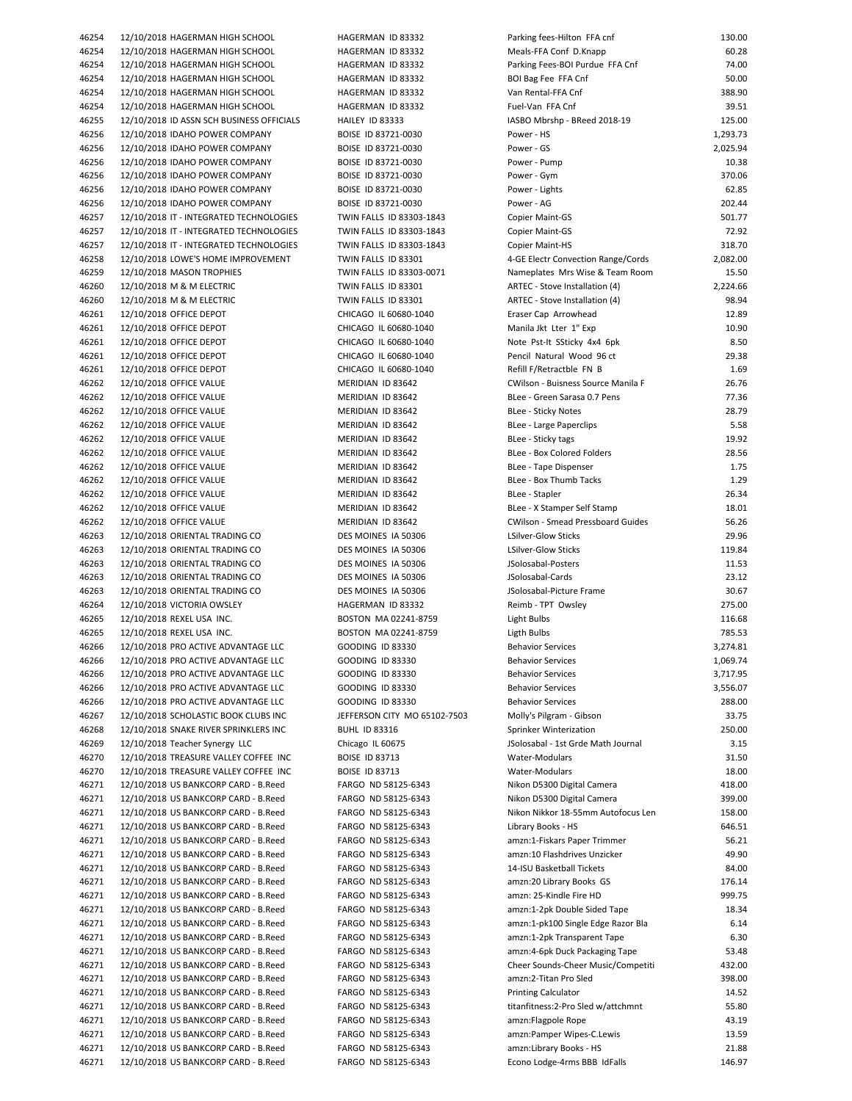| 46254          | 12/10/2018 HAGERMAN HIGH SCHOOL                                              |
|----------------|------------------------------------------------------------------------------|
| 46254          | 12/10/2018 HAGERMAN HIGH SCHOOL                                              |
| 46254          | 12/10/2018 HAGERMAN HIGH SCHOOL                                              |
| 46254          | 12/10/2018 HAGERMAN HIGH SCHOOL                                              |
|                |                                                                              |
| 46254          | 12/10/2018 HAGERMAN HIGH SCHOOL                                              |
| 46254          | 12/10/2018 HAGERMAN HIGH SCHOOL                                              |
| 46255          | 12/10/2018 ID ASSN SCH BUSINESS OFFICIALS                                    |
| 46256          | 12/10/2018 IDAHO POWER COMPANY                                               |
| 46256          | 12/10/2018 IDAHO POWER COMPANY                                               |
|                |                                                                              |
| 46256          | 12/10/2018 IDAHO POWER COMPANY                                               |
| 46256          | 12/10/2018 IDAHO POWER COMPANY                                               |
| 46256          | 12/10/2018 IDAHO POWER COMPANY                                               |
| 46256          | 12/10/2018 IDAHO POWER COMPANY                                               |
| 46257          | 12/10/2018 IT - INTEGRATED TECHNOLOGIES                                      |
| 46257          | 12/10/2018 IT - INTEGRATED TECHNOLOGIES                                      |
| 46257          | 12/10/2018 IT - INTEGRATED TECHNOLOGIES                                      |
|                |                                                                              |
| 46258          | 12/10/2018 LOWE'S HOME IMPROVEMENT                                           |
| 46259          | 12/10/2018 MASON TROPHIES                                                    |
| 46260          | 12/10/2018 M & M ELECTRIC                                                    |
| 46260          | 12/10/2018 M & M ELECTRIC                                                    |
| 46261          | 12/10/2018 OFFICE DEPOT                                                      |
| 46261          | 12/10/2018 OFFICE DEPOT                                                      |
| 46261          |                                                                              |
|                | 12/10/2018 OFFICE DEPOT                                                      |
| 46261          | 12/10/2018 OFFICE DEPOT                                                      |
| 46261          | 12/10/2018 OFFICE DEPOT                                                      |
| 46262          | 12/10/2018 OFFICE VALUE                                                      |
| 46262          | 12/10/2018 OFFICE VALUE                                                      |
| 46262          | 12/10/2018 OFFICE VALUE                                                      |
| 46262          | 12/10/2018 OFFICE VALUE                                                      |
| 46262          | 12/10/2018 OFFICE VALUE                                                      |
|                |                                                                              |
| 46262          | 12/10/2018 OFFICE VALUE                                                      |
| 46262          | 12/10/2018 OFFICE VALUE                                                      |
| 46262          | 12/10/2018 OFFICE VALUE                                                      |
| 46262          | 12/10/2018 OFFICE VALUE                                                      |
| 46262          | 12/10/2018 OFFICE VALUE                                                      |
| 46262          | 12/10/2018 OFFICE VALUE                                                      |
| 46263          | 12/10/2018 ORIENTAL TRADING CO                                               |
|                |                                                                              |
| 46263          | 12/10/2018 ORIENTAL TRADING CO                                               |
| 46263          | 12/10/2018 ORIENTAL TRADING CO                                               |
| 46263          | 12/10/2018 ORIENTAL TRADING CO                                               |
| 46263          | 12/10/2018 ORIENTAL TRADING CO                                               |
| 46264          | 12/10/2018 VICTORIA OWSLEY                                                   |
| 46265          | 12/10/2018 REXEL USA INC.                                                    |
| 46265          | 12/10/2018 REXEL USA INC.                                                    |
| 46266          | 12/10/2018 PRO ACTIVE ADVANTAGE LLC                                          |
|                |                                                                              |
| 46266          | 12/10/2018 PRO ACTIVE ADVANTAGE LLC                                          |
| 46266          | 12/10/2018 PRO ACTIVE ADVANTAGE LLC                                          |
| 46266          | 12/10/2018 PRO ACTIVE ADVANTAGE LLC                                          |
| 46266          |                                                                              |
| 46267          | 12/10/2018 PRO ACTIVE ADVANTAGE LLC                                          |
|                | 12/10/2018 SCHOLASTIC BOOK CLUBS INC                                         |
| 46268          |                                                                              |
|                | 12/10/2018 SNAKE RIVER SPRINKLERS INC                                        |
| 46269          | 12/10/2018 Teacher Synergy LLC                                               |
| 46270          | 12/10/2018 TREASURE VALLEY COFFEE INC                                        |
| 46270          | 12/10/2018 TREASURE VALLEY COFFEE INC                                        |
| 46271          | 12/10/2018 US BANKCORP CARD - B.Reed                                         |
| 46271          | 12/10/2018 US BANKCORP CARD - B.Reed                                         |
| 46271          | 12/10/2018 US BANKCORP CARD - B.Reed                                         |
| 46271          | 12/10/2018 US BANKCORP CARD - B.Reed                                         |
|                |                                                                              |
| 46271          | 12/10/2018 US BANKCORP CARD - B.Reed                                         |
| 46271          | 12/10/2018 US BANKCORP CARD - B.Reed                                         |
| 46271          | 12/10/2018 US BANKCORP CARD - B.Reed                                         |
| 46271          | 12/10/2018 US BANKCORP CARD - B.Reed                                         |
| 46271          | 12/10/2018 US BANKCORP CARD - B.Reed                                         |
| 46271          | 12/10/2018 US BANKCORP CARD - B.Reed                                         |
| 46271          | 12/10/2018 US BANKCORP CARD - B.Reed                                         |
| 46271          | 12/10/2018 US BANKCORP CARD - B.Reed                                         |
|                |                                                                              |
| 46271          | 12/10/2018 US BANKCORP CARD - B.Reed                                         |
| 46271          | 12/10/2018 US BANKCORP CARD - B.Reed                                         |
| 46271          | 12/10/2018 US BANKCORP CARD - B.Reed                                         |
| 46271          | 12/10/2018 US BANKCORP CARD - B.Reed                                         |
| 46271          | 12/10/2018 US BANKCORP CARD - B.Reed                                         |
| 46271          | 12/10/2018 US BANKCORP CARD - B.Reed                                         |
| 46271          | 12/10/2018 US BANKCORP CARD - B.Reed                                         |
|                |                                                                              |
| 46271<br>46271 | 12/10/2018 US BANKCORP CARD - B.Reed<br>12/10/2018 US BANKCORP CARD - B.Reed |

| 46254 | 12/10/2018 HAGERMAN HIGH SCHOOL           | HAGERMAN ID 83332            | Parking fees-Hilton FFA cnf              | 130.00   |
|-------|-------------------------------------------|------------------------------|------------------------------------------|----------|
| 46254 | 12/10/2018 HAGERMAN HIGH SCHOOL           | HAGERMAN ID 83332            | Meals-FFA Conf D.Knapp                   | 60.28    |
| 46254 | 12/10/2018 HAGERMAN HIGH SCHOOL           | HAGERMAN ID 83332            | Parking Fees-BOI Purdue FFA Cnf          | 74.00    |
| 46254 | 12/10/2018 HAGERMAN HIGH SCHOOL           | HAGERMAN ID 83332            | BOI Bag Fee FFA Cnf                      | 50.00    |
| 46254 | 12/10/2018 HAGERMAN HIGH SCHOOL           | HAGERMAN ID 83332            | Van Rental-FFA Cnf                       | 388.90   |
| 46254 | 12/10/2018 HAGERMAN HIGH SCHOOL           | HAGERMAN ID 83332            | Fuel-Van FFA Cnf                         | 39.51    |
| 46255 | 12/10/2018 ID ASSN SCH BUSINESS OFFICIALS | HAILEY ID 83333              | IASBO Mbrshp - BReed 2018-19             | 125.00   |
| 46256 | 12/10/2018 IDAHO POWER COMPANY            | BOISE ID 83721-0030          | Power - HS                               | 1,293.73 |
| 46256 | 12/10/2018 IDAHO POWER COMPANY            | BOISE ID 83721-0030          | Power - GS                               | 2,025.94 |
| 46256 | 12/10/2018 IDAHO POWER COMPANY            | BOISE ID 83721-0030          | Power - Pump                             | 10.38    |
|       |                                           | BOISE ID 83721-0030          |                                          | 370.06   |
| 46256 | 12/10/2018 IDAHO POWER COMPANY            |                              | Power - Gym                              |          |
| 46256 | 12/10/2018 IDAHO POWER COMPANY            | BOISE ID 83721-0030          | Power - Lights                           | 62.85    |
| 46256 | 12/10/2018 IDAHO POWER COMPANY            | BOISE ID 83721-0030          | Power - AG                               | 202.44   |
| 46257 | 12/10/2018 IT - INTEGRATED TECHNOLOGIES   | TWIN FALLS ID 83303-1843     | Copier Maint-GS                          | 501.77   |
| 46257 | 12/10/2018 IT - INTEGRATED TECHNOLOGIES   | TWIN FALLS ID 83303-1843     | Copier Maint-GS                          | 72.92    |
| 46257 | 12/10/2018 IT - INTEGRATED TECHNOLOGIES   | TWIN FALLS ID 83303-1843     | Copier Maint-HS                          | 318.70   |
| 46258 | 12/10/2018 LOWE'S HOME IMPROVEMENT        | TWIN FALLS ID 83301          | 4-GE Electr Convection Range/Cords       | 2,082.00 |
| 46259 | 12/10/2018 MASON TROPHIES                 | TWIN FALLS ID 83303-0071     | Nameplates Mrs Wise & Team Room          | 15.50    |
| 46260 | 12/10/2018 M & M ELECTRIC                 | TWIN FALLS ID 83301          | ARTEC - Stove Installation (4)           | 2,224.66 |
| 46260 | 12/10/2018 M & M ELECTRIC                 | TWIN FALLS ID 83301          | ARTEC - Stove Installation (4)           | 98.94    |
| 46261 | 12/10/2018 OFFICE DEPOT                   | CHICAGO IL 60680-1040        | Eraser Cap Arrowhead                     | 12.89    |
| 46261 | 12/10/2018 OFFICE DEPOT                   | CHICAGO IL 60680-1040        | Manila Jkt Lter 1" Exp                   | 10.90    |
| 46261 | 12/10/2018 OFFICE DEPOT                   | CHICAGO IL 60680-1040        | Note Pst-It SSticky 4x4 6pk              | 8.50     |
| 46261 | 12/10/2018 OFFICE DEPOT                   | CHICAGO IL 60680-1040        | Pencil Natural Wood 96 ct                | 29.38    |
| 46261 | 12/10/2018 OFFICE DEPOT                   | CHICAGO IL 60680-1040        | Refill F/Retractble FN B                 | 1.69     |
| 46262 | 12/10/2018 OFFICE VALUE                   | MERIDIAN ID 83642            | CWilson - Buisness Source Manila F       | 26.76    |
| 46262 | 12/10/2018 OFFICE VALUE                   | MERIDIAN ID 83642            | BLee - Green Sarasa 0.7 Pens             | 77.36    |
| 46262 | 12/10/2018 OFFICE VALUE                   | MERIDIAN ID 83642            | <b>BLee - Sticky Notes</b>               | 28.79    |
|       |                                           | MERIDIAN ID 83642            |                                          | 5.58     |
| 46262 | 12/10/2018 OFFICE VALUE                   |                              | BLee - Large Paperclips                  |          |
| 46262 | 12/10/2018 OFFICE VALUE                   | MERIDIAN ID 83642            | BLee - Sticky tags                       | 19.92    |
| 46262 | 12/10/2018 OFFICE VALUE                   | MERIDIAN ID 83642            | BLee - Box Colored Folders               | 28.56    |
| 46262 | 12/10/2018 OFFICE VALUE                   | MERIDIAN ID 83642            | BLee - Tape Dispenser                    | 1.75     |
| 46262 | 12/10/2018 OFFICE VALUE                   | MERIDIAN ID 83642            | BLee - Box Thumb Tacks                   | 1.29     |
| 46262 | 12/10/2018 OFFICE VALUE                   | MERIDIAN ID 83642            | BLee - Stapler                           | 26.34    |
| 46262 | 12/10/2018 OFFICE VALUE                   | MERIDIAN ID 83642            | BLee - X Stamper Self Stamp              | 18.01    |
| 46262 | 12/10/2018 OFFICE VALUE                   | MERIDIAN ID 83642            | <b>CWilson - Smead Pressboard Guides</b> | 56.26    |
| 46263 | 12/10/2018 ORIENTAL TRADING CO            | DES MOINES IA 50306          | LSilver-Glow Sticks                      | 29.96    |
| 46263 | 12/10/2018 ORIENTAL TRADING CO            | DES MOINES IA 50306          | LSilver-Glow Sticks                      | 119.84   |
| 46263 | 12/10/2018 ORIENTAL TRADING CO            | DES MOINES IA 50306          | JSolosabal-Posters                       | 11.53    |
| 46263 | 12/10/2018 ORIENTAL TRADING CO            | DES MOINES IA 50306          | JSolosabal-Cards                         | 23.12    |
| 46263 | 12/10/2018 ORIENTAL TRADING CO            | DES MOINES IA 50306          | JSolosabal-Picture Frame                 | 30.67    |
| 46264 | 12/10/2018 VICTORIA OWSLEY                | HAGERMAN ID 83332            | Reimb - TPT Owsley                       | 275.00   |
| 46265 | 12/10/2018 REXEL USA INC.                 | BOSTON MA 02241-8759         | Light Bulbs                              | 116.68   |
| 46265 | 12/10/2018 REXEL USA INC.                 | BOSTON MA 02241-8759         | Ligth Bulbs                              | 785.53   |
| 46266 | 12/10/2018 PRO ACTIVE ADVANTAGE LLC       | <b>GOODING ID 83330</b>      | <b>Behavior Services</b>                 | 3,274.81 |
| 46266 | 12/10/2018 PRO ACTIVE ADVANTAGE LLC       | <b>GOODING ID 83330</b>      | <b>Behavior Services</b>                 | 1,069.74 |
| 46266 | 12/10/2018 PRO ACTIVE ADVANTAGE LLC       | <b>GOODING ID 83330</b>      | <b>Behavior Services</b>                 | 3,717.95 |
| 46266 | 12/10/2018 PRO ACTIVE ADVANTAGE LLC       | <b>GOODING ID 83330</b>      | <b>Behavior Services</b>                 | 3,556.07 |
|       |                                           |                              |                                          |          |
| 46266 | 12/10/2018 PRO ACTIVE ADVANTAGE LLC       | <b>GOODING ID 83330</b>      | <b>Behavior Services</b>                 | 288.00   |
| 46267 | 12/10/2018 SCHOLASTIC BOOK CLUBS INC      | JEFFERSON CITY MO 65102-7503 | Molly's Pilgram - Gibson                 | 33.75    |
| 46268 | 12/10/2018 SNAKE RIVER SPRINKLERS INC     | <b>BUHL ID 83316</b>         | Sprinker Winterization                   | 250.00   |
| 46269 | 12/10/2018 Teacher Synergy LLC            | Chicago IL 60675             | JSolosabal - 1st Grde Math Journal       | 3.15     |
| 46270 | 12/10/2018 TREASURE VALLEY COFFEE INC     | <b>BOISE ID 83713</b>        | Water-Modulars                           | 31.50    |
| 46270 | 12/10/2018 TREASURE VALLEY COFFEE INC     | <b>BOISE ID 83713</b>        | Water-Modulars                           | 18.00    |
| 46271 | 12/10/2018 US BANKCORP CARD - B.Reed      | FARGO ND 58125-6343          | Nikon D5300 Digital Camera               | 418.00   |
| 46271 | 12/10/2018 US BANKCORP CARD - B.Reed      | FARGO ND 58125-6343          | Nikon D5300 Digital Camera               | 399.00   |
| 46271 | 12/10/2018 US BANKCORP CARD - B.Reed      | FARGO ND 58125-6343          | Nikon Nikkor 18-55mm Autofocus Len       | 158.00   |
| 46271 | 12/10/2018 US BANKCORP CARD - B.Reed      | FARGO ND 58125-6343          | Library Books - HS                       | 646.51   |
| 46271 | 12/10/2018 US BANKCORP CARD - B.Reed      | FARGO ND 58125-6343          | amzn:1-Fiskars Paper Trimmer             | 56.21    |
| 46271 | 12/10/2018 US BANKCORP CARD - B.Reed      | FARGO ND 58125-6343          | amzn:10 Flashdrives Unzicker             | 49.90    |
| 46271 | 12/10/2018 US BANKCORP CARD - B.Reed      | FARGO ND 58125-6343          | 14-ISU Basketball Tickets                | 84.00    |
| 46271 | 12/10/2018 US BANKCORP CARD - B.Reed      | FARGO ND 58125-6343          | amzn:20 Library Books GS                 | 176.14   |
| 46271 | 12/10/2018 US BANKCORP CARD - B.Reed      | FARGO ND 58125-6343          | amzn: 25-Kindle Fire HD                  | 999.75   |
| 46271 | 12/10/2018 US BANKCORP CARD - B.Reed      | FARGO ND 58125-6343          | amzn:1-2pk Double Sided Tape             | 18.34    |
| 46271 | 12/10/2018 US BANKCORP CARD - B.Reed      | FARGO ND 58125-6343          | amzn:1-pk100 Single Edge Razor Bla       | 6.14     |
| 46271 | 12/10/2018 US BANKCORP CARD - B.Reed      | FARGO ND 58125-6343          | amzn:1-2pk Transparent Tape              | 6.30     |
| 46271 | 12/10/2018 US BANKCORP CARD - B.Reed      | FARGO ND 58125-6343          | amzn:4-6pk Duck Packaging Tape           | 53.48    |
|       | 12/10/2018 US BANKCORP CARD - B.Reed      | FARGO ND 58125-6343          | Cheer Sounds-Cheer Music/Competiti       | 432.00   |
| 46271 |                                           |                              |                                          |          |
| 46271 | 12/10/2018 US BANKCORP CARD - B.Reed      | FARGO ND 58125-6343          | amzn:2-Titan Pro Sled                    | 398.00   |
| 46271 | 12/10/2018 US BANKCORP CARD - B.Reed      | FARGO ND 58125-6343          | <b>Printing Calculator</b>               | 14.52    |
| 46271 | 12/10/2018 US BANKCORP CARD - B.Reed      | FARGO ND 58125-6343          | titanfitness:2-Pro Sled w/attchmnt       | 55.80    |
| 46271 | 12/10/2018 US BANKCORP CARD - B.Reed      | FARGO ND 58125-6343          | amzn:Flagpole Rope                       | 43.19    |
| 46271 | 12/10/2018 US BANKCORP CARD - B.Reed      | FARGO ND 58125-6343          | amzn:Pamper Wipes-C.Lewis                | 13.59    |
| 46271 | 12/10/2018 US BANKCORP CARD - B.Reed      | FARGO ND 58125-6343          | amzn:Library Books - HS                  | 21.88    |
| 46271 | 12/10/2018 US BANKCORP CARD - B.Reed      | FARGO ND 58125-6343          | Econo Lodge-4rms BBB IdFalls             | 146.97   |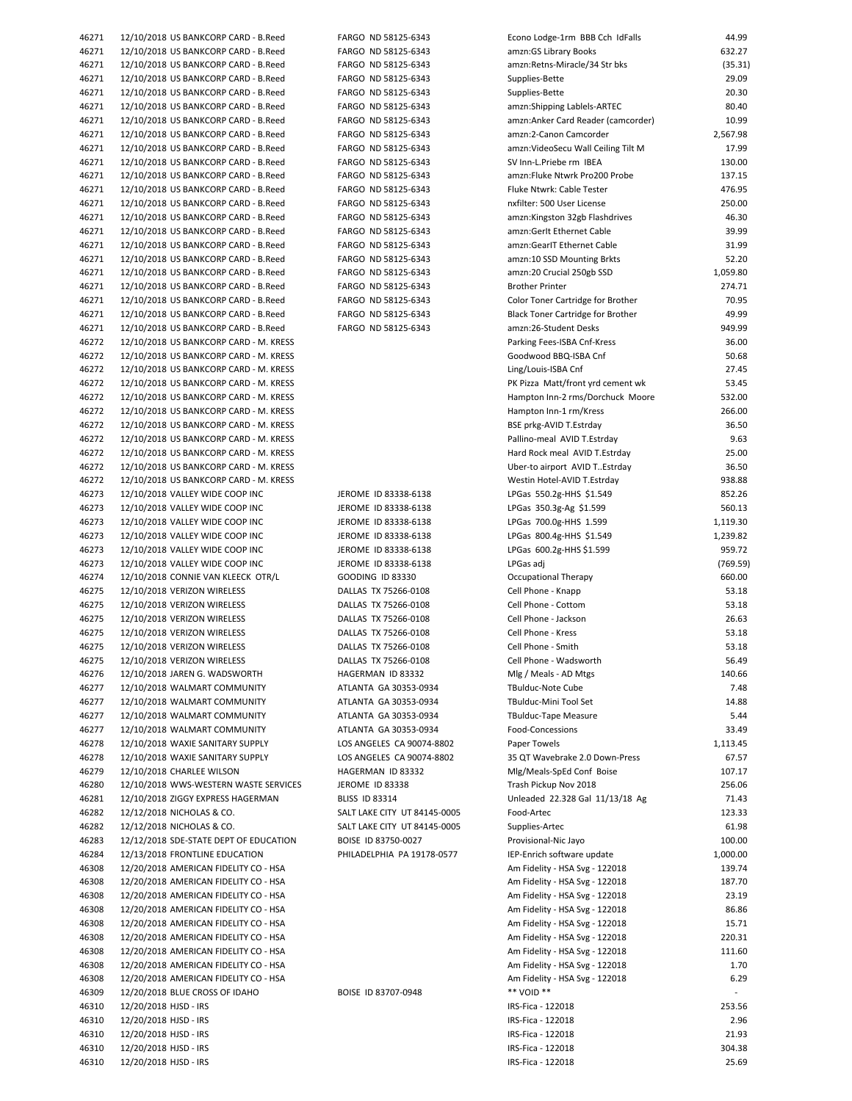| 46271 | 12/10/2018 US BANKCORP CARD - B.Reed   |
|-------|----------------------------------------|
| 46271 | 12/10/2018 US BANKCORP CARD - B.Reed   |
| 46271 | 12/10/2018 US BANKCORP CARD - B.Reed   |
| 46271 | 12/10/2018 US BANKCORP CARD - B.Reed   |
| 46271 | 12/10/2018 US BANKCORP CARD - B.Reed   |
| 46271 | 12/10/2018 US BANKCORP CARD - B.Reed   |
| 46271 | 12/10/2018 US BANKCORP CARD - B.Reed   |
| 46271 | 12/10/2018 US BANKCORP CARD - B.Reed   |
| 46271 | 12/10/2018 US BANKCORP CARD - B.Reed   |
|       |                                        |
| 46271 | 12/10/2018 US BANKCORP CARD - B.Reed   |
| 46271 | 12/10/2018 US BANKCORP CARD - B.Reed   |
| 46271 | 12/10/2018 US BANKCORP CARD - B.Reed   |
| 46271 | 12/10/2018 US BANKCORP CARD - B.Reed   |
| 46271 | 12/10/2018 US BANKCORP CARD - B.Reed   |
| 46271 | 12/10/2018 US BANKCORP CARD - B.Reed   |
| 46271 | 12/10/2018 US BANKCORP CARD - B.Reed   |
| 46271 | 12/10/2018 US BANKCORP CARD - B.Reed   |
| 46271 | 12/10/2018 US BANKCORP CARD - B.Reed   |
| 46271 | 12/10/2018 US BANKCORP CARD - B.Reed   |
| 46271 | 12/10/2018 US BANKCORP CARD - B.Reed   |
| 46271 | 12/10/2018 US BANKCORP CARD - B.Reed   |
| 46271 | 12/10/2018 US BANKCORP CARD - B.Reed   |
| 46272 | 12/10/2018 US BANKCORP CARD - M. KRESS |
| 46272 | 12/10/2018 US BANKCORP CARD - M. KRESS |
|       |                                        |
| 46272 | 12/10/2018 US BANKCORP CARD - M. KRESS |
| 46272 | 12/10/2018 US BANKCORP CARD - M. KRESS |
| 46272 | 12/10/2018 US BANKCORP CARD - M. KRESS |
| 46272 | 12/10/2018 US BANKCORP CARD - M. KRESS |
| 46272 | 12/10/2018 US BANKCORP CARD - M. KRESS |
| 46272 | 12/10/2018 US BANKCORP CARD - M. KRESS |
| 46272 | 12/10/2018 US BANKCORP CARD - M. KRESS |
| 46272 | 12/10/2018 US BANKCORP CARD - M. KRESS |
| 46272 | 12/10/2018 US BANKCORP CARD - M. KRESS |
| 46273 | 12/10/2018 VALLEY WIDE COOP INC        |
| 46273 | 12/10/2018 VALLEY WIDE COOP INC        |
| 46273 | 12/10/2018 VALLEY WIDE COOP INC        |
| 46273 | 12/10/2018 VALLEY WIDE COOP INC        |
| 46273 | 12/10/2018 VALLEY WIDE COOP INC        |
| 46273 | 12/10/2018 VALLEY WIDE COOP INC        |
| 46274 | 12/10/2018 CONNIE VAN KLEECK OTR/L     |
| 46275 | 12/10/2018 VERIZON WIRELESS            |
|       |                                        |
| 46275 | 12/10/2018 VERIZON WIRELESS            |
| 46275 | 12/10/2018 VERIZON WIRELESS            |
| 46275 | 12/10/2018 VERIZON WIRELESS            |
| 46275 | 12/10/2018 VERIZON WIRELESS            |
| 46275 | 12/10/2018 VERIZON WIRELESS            |
| 46276 | 12/10/2018 JAREN G. WADSWORTH          |
| 46277 | 12/10/2018 WALMART COMMUNITY           |
| 46277 | 12/10/2018 WALMART COMMUNITY           |
| 46277 | 12/10/2018 WALMART COMMUNITY           |
| 46277 | 12/10/2018 WALMART COMMUNITY           |
| 46278 | 12/10/2018 WAXIE SANITARY SUPPLY       |
| 46278 | 12/10/2018 WAXIE SANITARY SUPPLY       |
| 46279 | 12/10/2018 CHARLEE WILSON              |
| 46280 | 12/10/2018 WWS-WESTERN WASTE SERVICES  |
| 46281 | 12/10/2018 ZIGGY EXPRESS HAGERMAN      |
| 46282 | 12/12/2018 NICHOLAS & CO.              |
|       |                                        |
| 46282 | 12/12/2018 NICHOLAS & CO.              |
| 46283 | 12/12/2018 SDE-STATE DEPT OF EDUCATION |
| 46284 | 12/13/2018 FRONTLINE EDUCATION         |
| 46308 | 12/20/2018 AMERICAN FIDELITY CO - HSA  |
| 46308 | 12/20/2018 AMERICAN FIDELITY CO - HSA  |
| 46308 | 12/20/2018 AMERICAN FIDELITY CO - HSA  |
| 46308 | 12/20/2018 AMERICAN FIDELITY CO - HSA  |
| 46308 | 12/20/2018 AMERICAN FIDELITY CO - HSA  |
| 46308 | 12/20/2018 AMERICAN FIDELITY CO - HSA  |
| 46308 | 12/20/2018 AMERICAN FIDELITY CO - HSA  |
| 46308 | 12/20/2018 AMERICAN FIDELITY CO - HSA  |
| 46308 | 12/20/2018 AMERICAN FIDELITY CO - HSA  |
| 46309 | 12/20/2018 BLUE CROSS OF IDAHO         |
| 46310 | 12/20/2018 HJSD - IRS                  |
| 46310 | 12/20/2018 HJSD - IRS                  |
| 46310 | 12/20/2018 HJSD - IRS                  |
|       |                                        |
| 46310 | 12/20/2018 HJSD - IRS                  |
| 46310 | 12/20/2018 HJSD - IRS                  |
|       |                                        |

| 46271          | 12/10/2018 US BANKCORP CARD - B.Reed                                             | FARGO ND 58125-6343                        | Econo Lodge-1rm BBB Cch IdFalls                                  | 44.99            |
|----------------|----------------------------------------------------------------------------------|--------------------------------------------|------------------------------------------------------------------|------------------|
| 46271          | 12/10/2018 US BANKCORP CARD - B.Reed                                             | FARGO ND 58125-6343                        | amzn: GS Library Books                                           | 632.27           |
| 46271          | 12/10/2018 US BANKCORP CARD - B.Reed                                             | FARGO ND 58125-6343                        | amzn:Retns-Miracle/34 Str bks                                    | (35.31)          |
| 46271          | 12/10/2018 US BANKCORP CARD - B.Reed                                             | FARGO ND 58125-6343                        | Supplies-Bette                                                   | 29.09            |
| 46271          | 12/10/2018 US BANKCORP CARD - B.Reed                                             | FARGO ND 58125-6343                        | Supplies-Bette                                                   | 20.30            |
| 46271          | 12/10/2018 US BANKCORP CARD - B.Reed                                             | FARGO ND 58125-6343                        | amzn:Shipping Lablels-ARTEC                                      | 80.40            |
| 46271          | 12/10/2018 US BANKCORP CARD - B.Reed                                             | FARGO ND 58125-6343                        | amzn:Anker Card Reader (camcorder)                               | 10.99            |
| 46271          | 12/10/2018 US BANKCORP CARD - B.Reed                                             | FARGO ND 58125-6343                        | amzn:2-Canon Camcorder                                           | 2,567.98         |
| 46271          | 12/10/2018 US BANKCORP CARD - B.Reed                                             | FARGO ND 58125-6343                        | amzn: Video Secu Wall Ceiling Tilt M                             | 17.99            |
| 46271          | 12/10/2018 US BANKCORP CARD - B.Reed<br>12/10/2018 US BANKCORP CARD - B.Reed     | FARGO ND 58125-6343<br>FARGO ND 58125-6343 | SV Inn-L.Priebe rm IBEA<br>amzn:Fluke Ntwrk Pro200 Probe         | 130.00<br>137.15 |
| 46271<br>46271 | 12/10/2018 US BANKCORP CARD - B.Reed                                             | FARGO ND 58125-6343                        | Fluke Ntwrk: Cable Tester                                        | 476.95           |
| 46271          | 12/10/2018 US BANKCORP CARD - B.Reed                                             | FARGO ND 58125-6343                        | nxfilter: 500 User License                                       | 250.00           |
| 46271          | 12/10/2018 US BANKCORP CARD - B.Reed                                             | FARGO ND 58125-6343                        | amzn:Kingston 32gb Flashdrives                                   | 46.30            |
| 46271          | 12/10/2018 US BANKCORP CARD - B.Reed                                             | FARGO ND 58125-6343                        | amzn:Gerlt Ethernet Cable                                        | 39.99            |
| 46271          | 12/10/2018 US BANKCORP CARD - B.Reed                                             | FARGO ND 58125-6343                        | amzn:GearIT Ethernet Cable                                       | 31.99            |
| 46271          | 12/10/2018 US BANKCORP CARD - B.Reed                                             | FARGO ND 58125-6343                        | amzn:10 SSD Mounting Brkts                                       | 52.20            |
| 46271          | 12/10/2018 US BANKCORP CARD - B.Reed                                             | FARGO ND 58125-6343                        | amzn:20 Crucial 250gb SSD                                        | 1,059.80         |
| 46271          | 12/10/2018 US BANKCORP CARD - B.Reed                                             | FARGO ND 58125-6343                        | <b>Brother Printer</b>                                           | 274.71           |
| 46271          | 12/10/2018 US BANKCORP CARD - B.Reed                                             | FARGO ND 58125-6343                        | Color Toner Cartridge for Brother                                | 70.95            |
| 46271          | 12/10/2018 US BANKCORP CARD - B.Reed                                             | FARGO ND 58125-6343                        | Black Toner Cartridge for Brother                                | 49.99            |
| 46271          | 12/10/2018 US BANKCORP CARD - B.Reed                                             | FARGO ND 58125-6343                        | amzn:26-Student Desks                                            | 949.99           |
| 46272          | 12/10/2018 US BANKCORP CARD - M. KRESS                                           |                                            | Parking Fees-ISBA Cnf-Kress                                      | 36.00            |
| 46272          | 12/10/2018 US BANKCORP CARD - M. KRESS                                           |                                            | Goodwood BBQ-ISBA Cnf                                            | 50.68            |
| 46272          | 12/10/2018 US BANKCORP CARD - M. KRESS                                           |                                            | Ling/Louis-ISBA Cnf                                              | 27.45            |
| 46272          | 12/10/2018 US BANKCORP CARD - M. KRESS                                           |                                            | PK Pizza Matt/front yrd cement wk                                | 53.45            |
| 46272          | 12/10/2018 US BANKCORP CARD - M. KRESS                                           |                                            | Hampton Inn-2 rms/Dorchuck Moore                                 | 532.00           |
| 46272          | 12/10/2018 US BANKCORP CARD - M. KRESS                                           |                                            | Hampton Inn-1 rm/Kress                                           | 266.00<br>36.50  |
| 46272<br>46272 | 12/10/2018 US BANKCORP CARD - M. KRESS<br>12/10/2018 US BANKCORP CARD - M. KRESS |                                            | BSE prkg-AVID T.Estrday                                          | 9.63             |
| 46272          | 12/10/2018 US BANKCORP CARD - M. KRESS                                           |                                            | Pallino-meal AVID T.Estrday<br>Hard Rock meal AVID T.Estrday     | 25.00            |
| 46272          | 12/10/2018 US BANKCORP CARD - M. KRESS                                           |                                            | Uber-to airport AVID T. Estrday                                  | 36.50            |
| 46272          | 12/10/2018 US BANKCORP CARD - M. KRESS                                           |                                            | Westin Hotel-AVID T.Estrday                                      | 938.88           |
| 46273          | 12/10/2018 VALLEY WIDE COOP INC                                                  | JEROME ID 83338-6138                       | LPGas 550.2g-HHS \$1.549                                         | 852.26           |
| 46273          | 12/10/2018 VALLEY WIDE COOP INC                                                  | JEROME ID 83338-6138                       | LPGas 350.3g-Ag \$1.599                                          | 560.13           |
| 46273          | 12/10/2018 VALLEY WIDE COOP INC                                                  | JEROME ID 83338-6138                       | LPGas 700.0g-HHS 1.599                                           | 1,119.30         |
| 46273          | 12/10/2018 VALLEY WIDE COOP INC                                                  | JEROME ID 83338-6138                       | LPGas 800.4g-HHS \$1.549                                         | 1,239.82         |
| 46273          | 12/10/2018 VALLEY WIDE COOP INC                                                  | JEROME ID 83338-6138                       | LPGas 600.2g-HHS \$1.599                                         | 959.72           |
| 46273          | 12/10/2018 VALLEY WIDE COOP INC                                                  | JEROME ID 83338-6138                       | LPGas adj                                                        | (769.59)         |
| 46274          | 12/10/2018 CONNIE VAN KLEECK OTR/L                                               | <b>GOODING ID 83330</b>                    | Occupational Therapy                                             | 660.00           |
| 46275          | 12/10/2018 VERIZON WIRELESS                                                      | DALLAS TX 75266-0108                       | Cell Phone - Knapp                                               | 53.18            |
| 46275          | 12/10/2018 VERIZON WIRELESS                                                      | DALLAS TX 75266-0108                       | Cell Phone - Cottom                                              | 53.18            |
| 46275          | 12/10/2018 VERIZON WIRELESS                                                      | DALLAS TX 75266-0108                       | Cell Phone - Jackson                                             | 26.63            |
| 46275          | 12/10/2018 VERIZON WIRELESS                                                      | DALLAS TX 75266-0108                       | Cell Phone - Kress                                               | 53.18            |
| 46275          | 12/10/2018 VERIZON WIRELESS                                                      | DALLAS TX 75266-0108                       | Cell Phone - Smith                                               | 53.18            |
| 46275          | 12/10/2018 VERIZON WIRELESS                                                      | DALLAS TX 75266-0108                       | Cell Phone - Wadsworth                                           | 56.49            |
| 46276<br>46277 | 12/10/2018 JAREN G. WADSWORTH<br>12/10/2018 WALMART COMMUNITY                    | HAGERMAN ID 83332<br>ATLANTA GA 30353-0934 | Mlg / Meals - AD Mtgs<br>TBulduc-Note Cube                       | 140.66<br>7.48   |
| 46277          | 12/10/2018 WALMART COMMUNITY                                                     | ATLANTA GA 30353-0934                      | TBulduc-Mini Tool Set                                            | 14.88            |
| 46277          | 12/10/2018 WALMART COMMUNITY                                                     | ATLANTA GA 30353-0934                      | <b>TBulduc-Tape Measure</b>                                      | 5.44             |
| 46277          | 12/10/2018 WALMART COMMUNITY                                                     | ATLANTA GA 30353-0934                      | Food-Concessions                                                 | 33.49            |
| 46278          | 12/10/2018 WAXIE SANITARY SUPPLY                                                 | LOS ANGELES CA 90074-8802                  | Paper Towels                                                     | 1,113.45         |
| 46278          | 12/10/2018 WAXIE SANITARY SUPPLY                                                 | LOS ANGELES CA 90074-8802                  | 35 QT Wavebrake 2.0 Down-Press                                   | 67.57            |
| 46279          | 12/10/2018 CHARLEE WILSON                                                        | HAGERMAN ID 83332                          | Mlg/Meals-SpEd Conf Boise                                        | 107.17           |
| 46280          | 12/10/2018 WWS-WESTERN WASTE SERVICES                                            | JEROME ID 83338                            | Trash Pickup Nov 2018                                            | 256.06           |
| 46281          | 12/10/2018 ZIGGY EXPRESS HAGERMAN                                                | <b>BLISS ID 83314</b>                      | Unleaded 22.328 Gal 11/13/18 Ag                                  | 71.43            |
| 46282          | 12/12/2018 NICHOLAS & CO.                                                        | SALT LAKE CITY UT 84145-0005               | Food-Artec                                                       | 123.33           |
| 46282          | 12/12/2018 NICHOLAS & CO.                                                        | SALT LAKE CITY UT 84145-0005               | Supplies-Artec                                                   | 61.98            |
| 46283          | 12/12/2018 SDE-STATE DEPT OF EDUCATION                                           | BOISE ID 83750-0027                        | Provisional-Nic Jayo                                             | 100.00           |
| 46284          | 12/13/2018 FRONTLINE EDUCATION                                                   | PHILADELPHIA PA 19178-0577                 | IEP-Enrich software update                                       | 1,000.00         |
| 46308          | 12/20/2018 AMERICAN FIDELITY CO - HSA                                            |                                            | Am Fidelity - HSA Svg - 122018                                   | 139.74           |
| 46308          | 12/20/2018 AMERICAN FIDELITY CO - HSA                                            |                                            | Am Fidelity - HSA Svg - 122018                                   | 187.70           |
| 46308          | 12/20/2018 AMERICAN FIDELITY CO - HSA                                            |                                            | Am Fidelity - HSA Svg - 122018                                   | 23.19            |
| 46308          | 12/20/2018 AMERICAN FIDELITY CO - HSA                                            |                                            | Am Fidelity - HSA Svg - 122018                                   | 86.86            |
| 46308          | 12/20/2018 AMERICAN FIDELITY CO - HSA                                            |                                            | Am Fidelity - HSA Svg - 122018                                   | 15.71            |
| 46308          | 12/20/2018 AMERICAN FIDELITY CO - HSA                                            |                                            | Am Fidelity - HSA Svg - 122018                                   | 220.31           |
| 46308<br>46308 | 12/20/2018 AMERICAN FIDELITY CO - HSA<br>12/20/2018 AMERICAN FIDELITY CO - HSA   |                                            | Am Fidelity - HSA Svg - 122018<br>Am Fidelity - HSA Svg - 122018 | 111.60<br>1.70   |
| 46308          | 12/20/2018 AMERICAN FIDELITY CO - HSA                                            |                                            | Am Fidelity - HSA Svg - 122018                                   | 6.29             |
| 46309          | 12/20/2018 BLUE CROSS OF IDAHO                                                   | BOISE ID 83707-0948                        | ** VOID **                                                       |                  |
| 46310          | 12/20/2018 HJSD - IRS                                                            |                                            | IRS-Fica - 122018                                                | 253.56           |
| 46310          | 12/20/2018 HJSD - IRS                                                            |                                            | IRS-Fica - 122018                                                | 2.96             |
| 46310          | 12/20/2018 HJSD - IRS                                                            |                                            | IRS-Fica - 122018                                                | 21.93            |
| 46310          | 12/20/2018 HJSD - IRS                                                            |                                            | IRS-Fica - 122018                                                | 304.38           |
| 46310          | 12/20/2018 HJSD - IRS                                                            |                                            | IRS-Fica - 122018                                                | 25.69            |
|                |                                                                                  |                                            |                                                                  |                  |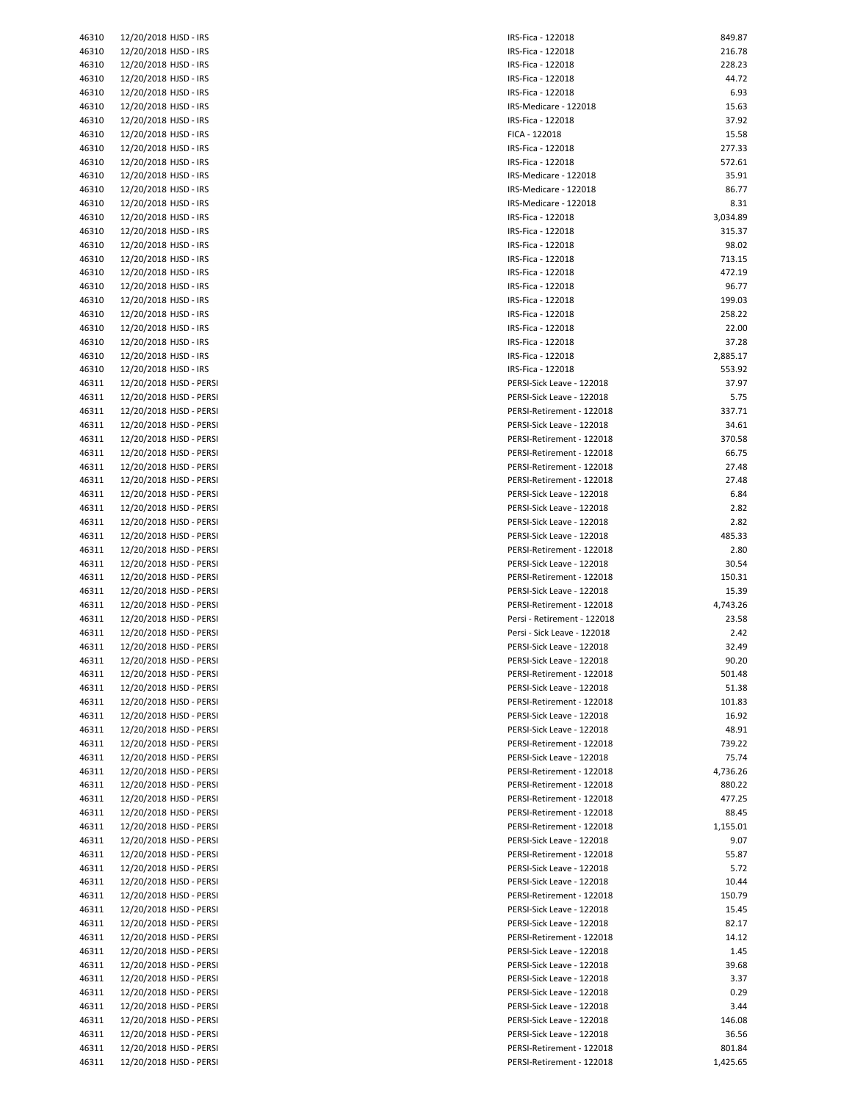| 46310          | 12/20/2018 HJSD - IRS                              | IR:        |
|----------------|----------------------------------------------------|------------|
| 46310          | 12/20/2018 HJSD - IRS                              | IR:        |
| 46310          | 12/20/2018 HJSD - IRS                              | IR:        |
| 46310          | 12/20/2018 HJSD - IRS                              | IR:        |
| 46310          | 12/20/2018 HJSD - IRS                              | IR:        |
| 46310          | 12/20/2018 HJSD - IRS                              | IR:        |
| 46310          | 12/20/2018 HJSD - IRS                              | IR:        |
| 46310          | 12/20/2018 HJSD - IRS                              | FI         |
| 46310          | 12/20/2018 HJSD - IRS                              | IR:        |
| 46310<br>46310 | 12/20/2018 HJSD - IRS<br>12/20/2018 HJSD - IRS     | IR:<br>IR: |
| 46310          | 12/20/2018 HJSD - IRS                              | IR:        |
| 46310          | 12/20/2018 HJSD - IRS                              | IR:        |
| 46310          | 12/20/2018 HJSD - IRS                              | IR:        |
| 46310          | 12/20/2018 HJSD - IRS                              | IR:        |
| 46310          | 12/20/2018 HJSD - IRS                              | IR:        |
| 46310          | 12/20/2018 HJSD - IRS                              | IR:        |
| 46310          | 12/20/2018 HJSD - IRS                              | IR:        |
| 46310          | 12/20/2018 HJSD - IRS                              | IR:        |
| 46310          | 12/20/2018 HJSD - IRS                              | IR:        |
| 46310          | 12/20/2018 HJSD - IRS                              | IR:        |
| 46310          | 12/20/2018 HJSD - IRS                              | IR:        |
| 46310          | 12/20/2018 HJSD - IRS                              | IR:        |
| 46310          | 12/20/2018 HJSD - IRS                              | IR:        |
| 46310<br>46311 | 12/20/2018 HJSD - IRS<br>12/20/2018 HJSD - PERSI   | IR:<br>PE  |
| 46311          | 12/20/2018 HJSD - PERSI                            | PE         |
| 46311          | 12/20/2018 HJSD - PERSI                            | PE         |
| 46311          | 12/20/2018 HJSD - PERSI                            | PE         |
| 46311          | 12/20/2018 HJSD - PERSI                            | PE         |
| 46311          | 12/20/2018 HJSD - PERSI                            | PE         |
| 46311          | 12/20/2018 HJSD - PERSI                            | PE         |
| 46311          | 12/20/2018 HJSD - PERSI                            | PE         |
| 46311          | 12/20/2018 HJSD - PERSI                            | PE         |
| 46311          | 12/20/2018 HJSD - PERSI                            | PE         |
| 46311          | 12/20/2018 HJSD - PERSI                            | PE         |
| 46311          | 12/20/2018 HJSD - PERSI                            | PE         |
| 46311          | 12/20/2018 HJSD - PERSI                            | PE         |
| 46311          | 12/20/2018 HJSD - PERSI                            | PE         |
| 46311<br>46311 | 12/20/2018 HJSD - PERSI<br>12/20/2018 HJSD - PERSI | PE<br>PE   |
| 46311          | 12/20/2018 HJSD - PERSI                            | PE         |
| 46311          | 12/20/2018 HJSD - PERSI                            | Pe         |
| 46311          | 12/20/2018 HJSD - PERSI                            | Pe         |
| 46311          | 12/20/2018 HJSD - PERSI                            | PE         |
| 46311          | 12/20/2018 HJSD - PERSI                            | PE         |
| 46311          | 12/20/2018 HJSD - PERSI                            | PE         |
| 46311          | 12/20/2018 HJSD - PERSI                            | PE         |
| 46311          | 12/20/2018 HJSD - PERSI                            | PE         |
| 46311          | 12/20/2018 HJSD - PERSI                            | PE         |
| 46311          | 12/20/2018 HJSD - PERSI                            | PE         |
| 46311          | 12/20/2018 HJSD - PERSI                            | PE         |
| 46311          | 12/20/2018 HJSD - PERSI                            | PE         |
| 46311          | 12/20/2018 HJSD - PERSI                            | PE         |
| 46311<br>46311 | 12/20/2018 HJSD - PERSI<br>12/20/2018 HJSD - PERSI | PE<br>PE   |
| 46311          | 12/20/2018 HJSD - PERSI                            | PE         |
| 46311          | 12/20/2018 HJSD - PERSI                            | PE         |
| 46311          | 12/20/2018 HJSD - PERSI                            | PE         |
| 46311          | 12/20/2018 HJSD - PERSI                            | PE         |
| 46311          | 12/20/2018 HJSD - PERSI                            | PE         |
| 46311          | 12/20/2018 HJSD - PERSI                            | PE         |
| 46311          | 12/20/2018 HJSD - PERSI                            | PE         |
| 46311          | 12/20/2018 HJSD - PERSI                            | PE         |
| 46311          | 12/20/2018 HJSD - PERSI                            | PE         |
| 46311          | 12/20/2018 HJSD - PERSI                            | PE         |
| 46311          | 12/20/2018 HJSD - PERSI                            | PE         |
| 46311          | 12/20/2018 HJSD - PERSI                            | PE         |
| 46311          | 12/20/2018 HJSD - PERSI                            | PE<br>PE   |
| 46311<br>46311 | 12/20/2018 HJSD - PERSI<br>12/20/2018 HJSD - PERSI | PE         |
| 46311          | 12/20/2018 HJSD - PERSI                            | PE         |
| 46311          | 12/20/2018 HJSD - PERSI                            | PE         |
| 46311          | 12/20/2018 HJSD - PERSI                            | PE         |
| 46311          | 12/20/2018 HJSD - PERSI                            | PE         |
|                |                                                    |            |

| 46310 | 12/20/2018 HJSD - IRS   | IRS-Fica - 122018           | 849.87   |
|-------|-------------------------|-----------------------------|----------|
| 46310 | 12/20/2018 HJSD - IRS   | IRS-Fica - 122018           | 216.78   |
|       |                         |                             |          |
| 46310 | 12/20/2018 HJSD - IRS   | IRS-Fica - 122018           | 228.23   |
| 46310 | 12/20/2018 HJSD - IRS   | IRS-Fica - 122018           | 44.72    |
| 46310 | 12/20/2018 HJSD - IRS   | IRS-Fica - 122018           | 6.93     |
| 46310 | 12/20/2018 HJSD - IRS   | IRS-Medicare - 122018       | 15.63    |
| 46310 | 12/20/2018 HJSD - IRS   | IRS-Fica - 122018           | 37.92    |
|       |                         |                             |          |
| 46310 | 12/20/2018 HJSD - IRS   | FICA - 122018               | 15.58    |
| 46310 | 12/20/2018 HJSD - IRS   | IRS-Fica - 122018           | 277.33   |
| 46310 | 12/20/2018 HJSD - IRS   | IRS-Fica - 122018           | 572.61   |
| 46310 | 12/20/2018 HJSD - IRS   | IRS-Medicare - 122018       | 35.91    |
| 46310 | 12/20/2018 HJSD - IRS   | IRS-Medicare - 122018       | 86.77    |
| 46310 | 12/20/2018 HJSD - IRS   | IRS-Medicare - 122018       | 8.31     |
|       |                         |                             |          |
| 46310 | 12/20/2018 HJSD - IRS   | IRS-Fica - 122018           | 3,034.89 |
| 46310 | 12/20/2018 HJSD - IRS   | IRS-Fica - 122018           | 315.37   |
| 46310 | 12/20/2018 HJSD - IRS   | IRS-Fica - 122018           | 98.02    |
| 46310 | 12/20/2018 HJSD - IRS   | IRS-Fica - 122018           | 713.15   |
| 46310 | 12/20/2018 HJSD - IRS   | IRS-Fica - 122018           | 472.19   |
|       |                         |                             |          |
| 46310 | 12/20/2018 HJSD - IRS   | IRS-Fica - 122018           | 96.77    |
| 46310 | 12/20/2018 HJSD - IRS   | IRS-Fica - 122018           | 199.03   |
| 46310 | 12/20/2018 HJSD - IRS   | IRS-Fica - 122018           | 258.22   |
| 46310 | 12/20/2018 HJSD - IRS   | IRS-Fica - 122018           | 22.00    |
| 46310 | 12/20/2018 HJSD - IRS   | IRS-Fica - 122018           | 37.28    |
| 46310 | 12/20/2018 HJSD - IRS   | IRS-Fica - 122018           | 2,885.17 |
|       |                         |                             |          |
| 46310 | 12/20/2018 HJSD - IRS   | IRS-Fica - 122018           | 553.92   |
| 46311 | 12/20/2018 HJSD - PERSI | PERSI-Sick Leave - 122018   | 37.97    |
| 46311 | 12/20/2018 HJSD - PERSI | PERSI-Sick Leave - 122018   | 5.75     |
| 46311 | 12/20/2018 HJSD - PERSI | PERSI-Retirement - 122018   | 337.71   |
| 46311 | 12/20/2018 HJSD - PERSI | PERSI-Sick Leave - 122018   | 34.61    |
|       |                         |                             |          |
| 46311 | 12/20/2018 HJSD - PERSI | PERSI-Retirement - 122018   | 370.58   |
| 46311 | 12/20/2018 HJSD - PERSI | PERSI-Retirement - 122018   | 66.75    |
| 46311 | 12/20/2018 HJSD - PERSI | PERSI-Retirement - 122018   | 27.48    |
| 46311 | 12/20/2018 HJSD - PERSI | PERSI-Retirement - 122018   | 27.48    |
| 46311 | 12/20/2018 HJSD - PERSI | PERSI-Sick Leave - 122018   | 6.84     |
|       |                         |                             |          |
| 46311 | 12/20/2018 HJSD - PERSI | PERSI-Sick Leave - 122018   | 2.82     |
| 46311 | 12/20/2018 HJSD - PERSI | PERSI-Sick Leave - 122018   | 2.82     |
| 46311 | 12/20/2018 HJSD - PERSI | PERSI-Sick Leave - 122018   | 485.33   |
| 46311 | 12/20/2018 HJSD - PERSI | PERSI-Retirement - 122018   | 2.80     |
| 46311 | 12/20/2018 HJSD - PERSI | PERSI-Sick Leave - 122018   | 30.54    |
|       | 12/20/2018 HJSD - PERSI | PERSI-Retirement - 122018   | 150.31   |
| 46311 |                         |                             |          |
| 46311 | 12/20/2018 HJSD - PERSI | PERSI-Sick Leave - 122018   | 15.39    |
| 46311 | 12/20/2018 HJSD - PERSI | PERSI-Retirement - 122018   | 4,743.26 |
| 46311 | 12/20/2018 HJSD - PERSI | Persi - Retirement - 122018 | 23.58    |
| 46311 | 12/20/2018 HJSD - PERSI | Persi - Sick Leave - 122018 | 2.42     |
| 46311 | 12/20/2018 HJSD - PERSI | PERSI-Sick Leave - 122018   | 32.49    |
|       |                         |                             |          |
| 46311 | 12/20/2018 HJSD - PERSI | PERSI-Sick Leave - 122018   | 90.20    |
| 46311 | 12/20/2018 HJSD - PERSI | PERSI-Retirement - 122018   | 501.48   |
| 46311 | 12/20/2018 HJSD - PERSI | PERSI-Sick Leave - 122018   | 51.38    |
| 46311 | 12/20/2018 HJSD - PERSI | PERSI-Retirement - 122018   | 101.83   |
| 46311 | 12/20/2018 HJSD - PERSI | PERSI-Sick Leave - 122018   | 16.92    |
|       |                         |                             |          |
| 46311 | 12/20/2018 HJSD - PERSI | PERSI-Sick Leave - 122018   | 48.91    |
| 46311 | 12/20/2018 HJSD - PERSI | PERSI-Retirement - 122018   | 739.22   |
| 46311 | 12/20/2018 HJSD - PERSI | PERSI-Sick Leave - 122018   | 75.74    |
| 46311 | 12/20/2018 HJSD - PERSI | PERSI-Retirement - 122018   | 4,736.26 |
| 46311 | 12/20/2018 HJSD - PERSI | PERSI-Retirement - 122018   | 880.22   |
| 46311 | 12/20/2018 HJSD - PERSI | PERSI-Retirement - 122018   | 477.25   |
|       |                         |                             |          |
| 46311 | 12/20/2018 HJSD - PERSI | PERSI-Retirement - 122018   | 88.45    |
| 46311 | 12/20/2018 HJSD - PERSI | PERSI-Retirement - 122018   | 1,155.01 |
| 46311 | 12/20/2018 HJSD - PERSI | PERSI-Sick Leave - 122018   | 9.07     |
| 46311 | 12/20/2018 HJSD - PERSI | PERSI-Retirement - 122018   | 55.87    |
| 46311 | 12/20/2018 HJSD - PERSI | PERSI-Sick Leave - 122018   | 5.72     |
| 46311 | 12/20/2018 HJSD - PERSI | PERSI-Sick Leave - 122018   | 10.44    |
|       |                         |                             |          |
| 46311 | 12/20/2018 HJSD - PERSI | PERSI-Retirement - 122018   | 150.79   |
| 46311 | 12/20/2018 HJSD - PERSI | PERSI-Sick Leave - 122018   | 15.45    |
| 46311 | 12/20/2018 HJSD - PERSI | PERSI-Sick Leave - 122018   | 82.17    |
| 46311 | 12/20/2018 HJSD - PERSI | PERSI-Retirement - 122018   | 14.12    |
| 46311 | 12/20/2018 HJSD - PERSI | PERSI-Sick Leave - 122018   | 1.45     |
|       |                         |                             |          |
| 46311 | 12/20/2018 HJSD - PERSI | PERSI-Sick Leave - 122018   | 39.68    |
| 46311 | 12/20/2018 HJSD - PERSI | PERSI-Sick Leave - 122018   | 3.37     |
| 46311 | 12/20/2018 HJSD - PERSI | PERSI-Sick Leave - 122018   | 0.29     |
| 46311 | 12/20/2018 HJSD - PERSI | PERSI-Sick Leave - 122018   | 3.44     |
| 46311 | 12/20/2018 HJSD - PERSI | PERSI-Sick Leave - 122018   | 146.08   |
|       |                         |                             |          |
| 46311 | 12/20/2018 HJSD - PERSI | PERSI-Sick Leave - 122018   | 36.56    |
| 46311 | 12/20/2018 HJSD - PERSI | PERSI-Retirement - 122018   | 801.84   |
| 46311 | 12/20/2018 HJSD - PERSI | PERSI-Retirement - 122018   | 1,425.65 |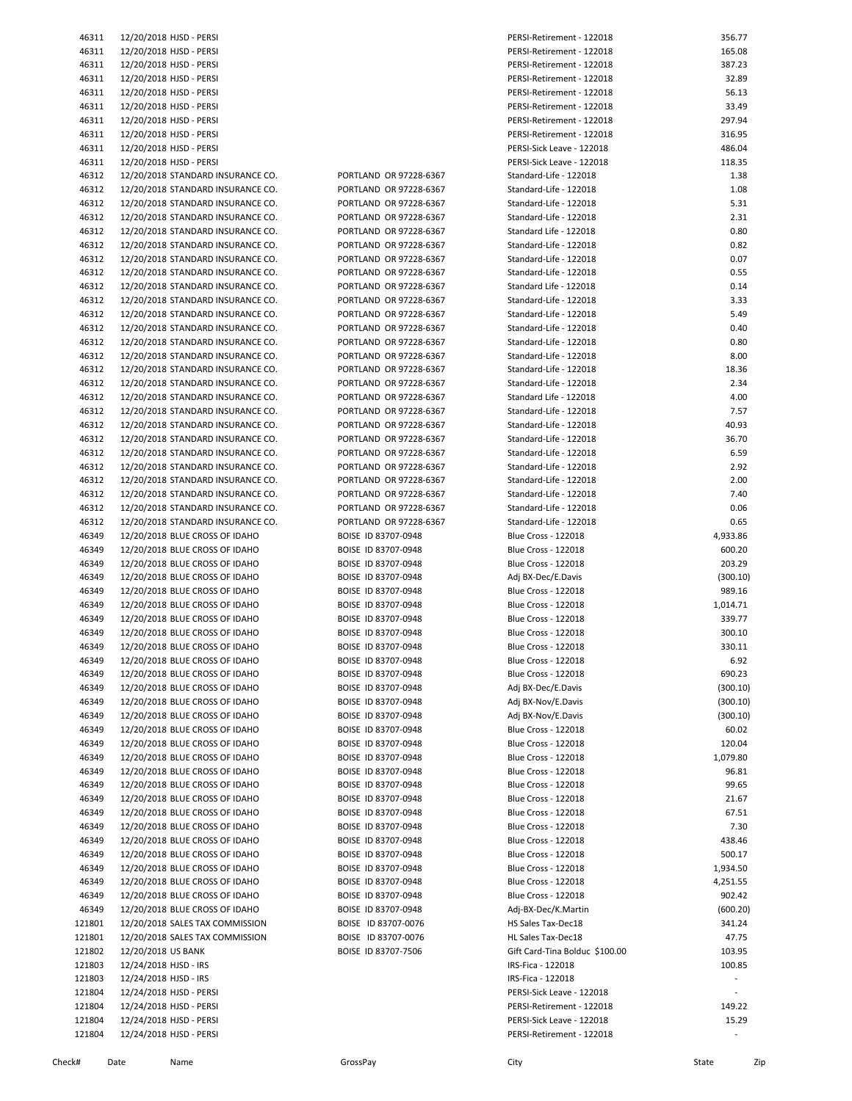| 46311  | 12/20/2018 HJSD - PERSI           |                        | PERSI-Retirement - 122018      | 356.77                   |
|--------|-----------------------------------|------------------------|--------------------------------|--------------------------|
| 46311  | 12/20/2018 HJSD - PERSI           |                        | PERSI-Retirement - 122018      | 165.08                   |
| 46311  | 12/20/2018 HJSD - PERSI           |                        | PERSI-Retirement - 122018      | 387.23                   |
| 46311  | 12/20/2018 HJSD - PERSI           |                        | PERSI-Retirement - 122018      | 32.89                    |
| 46311  | 12/20/2018 HJSD - PERSI           |                        | PERSI-Retirement - 122018      | 56.13                    |
| 46311  | 12/20/2018 HJSD - PERSI           |                        | PERSI-Retirement - 122018      | 33.49                    |
| 46311  | 12/20/2018 HJSD - PERSI           |                        | PERSI-Retirement - 122018      | 297.94                   |
| 46311  | 12/20/2018 HJSD - PERSI           |                        | PERSI-Retirement - 122018      | 316.95                   |
| 46311  | 12/20/2018 HJSD - PERSI           |                        | PERSI-Sick Leave - 122018      | 486.04                   |
| 46311  | 12/20/2018 HJSD - PERSI           |                        | PERSI-Sick Leave - 122018      | 118.35                   |
|        |                                   |                        |                                |                          |
| 46312  | 12/20/2018 STANDARD INSURANCE CO. | PORTLAND OR 97228-6367 | Standard-Life - 122018         | 1.38                     |
| 46312  | 12/20/2018 STANDARD INSURANCE CO. | PORTLAND OR 97228-6367 | Standard-Life - 122018         | 1.08                     |
| 46312  | 12/20/2018 STANDARD INSURANCE CO. | PORTLAND OR 97228-6367 | Standard-Life - 122018         | 5.31                     |
| 46312  | 12/20/2018 STANDARD INSURANCE CO. | PORTLAND OR 97228-6367 | Standard-Life - 122018         | 2.31                     |
| 46312  | 12/20/2018 STANDARD INSURANCE CO. | PORTLAND OR 97228-6367 | Standard Life - 122018         | 0.80                     |
| 46312  | 12/20/2018 STANDARD INSURANCE CO. | PORTLAND OR 97228-6367 | Standard-Life - 122018         | 0.82                     |
| 46312  | 12/20/2018 STANDARD INSURANCE CO. | PORTLAND OR 97228-6367 | Standard-Life - 122018         | 0.07                     |
| 46312  | 12/20/2018 STANDARD INSURANCE CO. | PORTLAND OR 97228-6367 | Standard-Life - 122018         | 0.55                     |
| 46312  | 12/20/2018 STANDARD INSURANCE CO. | PORTLAND OR 97228-6367 | Standard Life - 122018         | 0.14                     |
|        |                                   | PORTLAND OR 97228-6367 |                                | 3.33                     |
| 46312  | 12/20/2018 STANDARD INSURANCE CO. |                        | Standard-Life - 122018         |                          |
| 46312  | 12/20/2018 STANDARD INSURANCE CO. | PORTLAND OR 97228-6367 | Standard-Life - 122018         | 5.49                     |
| 46312  | 12/20/2018 STANDARD INSURANCE CO. | PORTLAND OR 97228-6367 | Standard-Life - 122018         | 0.40                     |
| 46312  | 12/20/2018 STANDARD INSURANCE CO. | PORTLAND OR 97228-6367 | Standard-Life - 122018         | 0.80                     |
| 46312  | 12/20/2018 STANDARD INSURANCE CO. | PORTLAND OR 97228-6367 | Standard-Life - 122018         | 8.00                     |
| 46312  | 12/20/2018 STANDARD INSURANCE CO. | PORTLAND OR 97228-6367 | Standard-Life - 122018         | 18.36                    |
| 46312  | 12/20/2018 STANDARD INSURANCE CO. | PORTLAND OR 97228-6367 | Standard-Life - 122018         | 2.34                     |
| 46312  | 12/20/2018 STANDARD INSURANCE CO. | PORTLAND OR 97228-6367 | Standard Life - 122018         | 4.00                     |
| 46312  | 12/20/2018 STANDARD INSURANCE CO. | PORTLAND OR 97228-6367 | Standard-Life - 122018         | 7.57                     |
| 46312  | 12/20/2018 STANDARD INSURANCE CO. | PORTLAND OR 97228-6367 | Standard-Life - 122018         | 40.93                    |
|        |                                   |                        |                                |                          |
| 46312  | 12/20/2018 STANDARD INSURANCE CO. | PORTLAND OR 97228-6367 | Standard-Life - 122018         | 36.70                    |
| 46312  | 12/20/2018 STANDARD INSURANCE CO. | PORTLAND OR 97228-6367 | Standard-Life - 122018         | 6.59                     |
| 46312  | 12/20/2018 STANDARD INSURANCE CO. | PORTLAND OR 97228-6367 | Standard-Life - 122018         | 2.92                     |
| 46312  | 12/20/2018 STANDARD INSURANCE CO. | PORTLAND OR 97228-6367 | Standard-Life - 122018         | 2.00                     |
| 46312  | 12/20/2018 STANDARD INSURANCE CO. | PORTLAND OR 97228-6367 | Standard-Life - 122018         | 7.40                     |
| 46312  | 12/20/2018 STANDARD INSURANCE CO. | PORTLAND OR 97228-6367 | Standard-Life - 122018         | 0.06                     |
| 46312  | 12/20/2018 STANDARD INSURANCE CO. | PORTLAND OR 97228-6367 | Standard-Life - 122018         | 0.65                     |
| 46349  | 12/20/2018 BLUE CROSS OF IDAHO    | BOISE ID 83707-0948    | Blue Cross - 122018            | 4,933.86                 |
| 46349  | 12/20/2018 BLUE CROSS OF IDAHO    | BOISE ID 83707-0948    | Blue Cross - 122018            | 600.20                   |
|        |                                   |                        |                                | 203.29                   |
| 46349  | 12/20/2018 BLUE CROSS OF IDAHO    | BOISE ID 83707-0948    | <b>Blue Cross - 122018</b>     |                          |
| 46349  | 12/20/2018 BLUE CROSS OF IDAHO    | BOISE ID 83707-0948    | Adj BX-Dec/E.Davis             | (300.10)                 |
| 46349  | 12/20/2018 BLUE CROSS OF IDAHO    | BOISE ID 83707-0948    | <b>Blue Cross - 122018</b>     | 989.16                   |
| 46349  | 12/20/2018 BLUE CROSS OF IDAHO    | BOISE ID 83707-0948    | <b>Blue Cross - 122018</b>     | 1,014.71                 |
| 46349  | 12/20/2018 BLUE CROSS OF IDAHO    | BOISE ID 83707-0948    | Blue Cross - 122018            | 339.77                   |
| 46349  | 12/20/2018 BLUE CROSS OF IDAHO    | BOISE ID 83707-0948    | <b>Blue Cross - 122018</b>     | 300.10                   |
| 46349  | 12/20/2018 BLUE CROSS OF IDAHO    | BOISE ID 83707-0948    | <b>Blue Cross - 122018</b>     | 330.11                   |
| 46349  | 12/20/2018 BLUE CROSS OF IDAHO    | BOISE ID 83707-0948    | <b>Blue Cross - 122018</b>     | 6.92                     |
| 46349  | 12/20/2018 BLUE CROSS OF IDAHO    | BOISE ID 83707-0948    | <b>Blue Cross - 122018</b>     | 690.23                   |
| 46349  | 12/20/2018 BLUE CROSS OF IDAHO    | BOISE ID 83707-0948    | Adj BX-Dec/E.Davis             | (300.10)                 |
|        | 12/20/2018 BLUE CROSS OF IDAHO    |                        | Adj BX-Nov/E.Davis             |                          |
| 46349  |                                   | BOISE ID 83707-0948    |                                | (300.10)                 |
| 46349  | 12/20/2018 BLUE CROSS OF IDAHO    | BOISE ID 83707-0948    | Adj BX-Nov/E.Davis             | (300.10)                 |
| 46349  | 12/20/2018 BLUE CROSS OF IDAHO    | BOISE ID 83707-0948    | <b>Blue Cross - 122018</b>     | 60.02                    |
| 46349  | 12/20/2018 BLUE CROSS OF IDAHO    | BOISE ID 83707-0948    | <b>Blue Cross - 122018</b>     | 120.04                   |
| 46349  | 12/20/2018 BLUE CROSS OF IDAHO    | BOISE ID 83707-0948    | <b>Blue Cross - 122018</b>     | 1,079.80                 |
| 46349  | 12/20/2018 BLUE CROSS OF IDAHO    | BOISE ID 83707-0948    | Blue Cross - 122018            | 96.81                    |
| 46349  | 12/20/2018 BLUE CROSS OF IDAHO    | BOISE ID 83707-0948    | <b>Blue Cross - 122018</b>     | 99.65                    |
| 46349  | 12/20/2018 BLUE CROSS OF IDAHO    | BOISE ID 83707-0948    | <b>Blue Cross - 122018</b>     | 21.67                    |
| 46349  | 12/20/2018 BLUE CROSS OF IDAHO    | BOISE ID 83707-0948    | <b>Blue Cross - 122018</b>     | 67.51                    |
| 46349  | 12/20/2018 BLUE CROSS OF IDAHO    | BOISE ID 83707-0948    | <b>Blue Cross - 122018</b>     | 7.30                     |
|        | 12/20/2018 BLUE CROSS OF IDAHO    |                        |                                |                          |
| 46349  |                                   | BOISE ID 83707-0948    | <b>Blue Cross - 122018</b>     | 438.46                   |
| 46349  | 12/20/2018 BLUE CROSS OF IDAHO    | BOISE ID 83707-0948    | <b>Blue Cross - 122018</b>     | 500.17                   |
| 46349  | 12/20/2018 BLUE CROSS OF IDAHO    | BOISE ID 83707-0948    | <b>Blue Cross - 122018</b>     | 1,934.50                 |
| 46349  | 12/20/2018 BLUE CROSS OF IDAHO    | BOISE ID 83707-0948    | <b>Blue Cross - 122018</b>     | 4,251.55                 |
| 46349  | 12/20/2018 BLUE CROSS OF IDAHO    | BOISE ID 83707-0948    | <b>Blue Cross - 122018</b>     | 902.42                   |
| 46349  | 12/20/2018 BLUE CROSS OF IDAHO    | BOISE ID 83707-0948    | Adj-BX-Dec/K.Martin            | (600.20)                 |
| 121801 | 12/20/2018 SALES TAX COMMISSION   | BOISE ID 83707-0076    | HS Sales Tax-Dec18             | 341.24                   |
| 121801 | 12/20/2018 SALES TAX COMMISSION   | BOISE ID 83707-0076    | HL Sales Tax-Dec18             | 47.75                    |
| 121802 | 12/20/2018 US BANK                | BOISE ID 83707-7506    | Gift Card-Tina Bolduc \$100.00 | 103.95                   |
|        |                                   |                        | IRS-Fica - 122018              | 100.85                   |
| 121803 | 12/24/2018 HJSD - IRS             |                        |                                |                          |
| 121803 | 12/24/2018 HJSD - IRS             |                        | IRS-Fica - 122018              | $\overline{\phantom{a}}$ |
| 121804 | 12/24/2018 HJSD - PERSI           |                        | PERSI-Sick Leave - 122018      |                          |
| 121804 | 12/24/2018 HJSD - PERSI           |                        | PERSI-Retirement - 122018      | 149.22                   |
| 121804 | 12/24/2018 HJSD - PERSI           |                        | PERSI-Sick Leave - 122018      | 15.29                    |
| 121804 | 12/24/2018 HJSD - PERSI           |                        | PERSI-Retirement - 122018      |                          |
|        |                                   |                        |                                |                          |

Check# Date Name GrossPay City State Zip